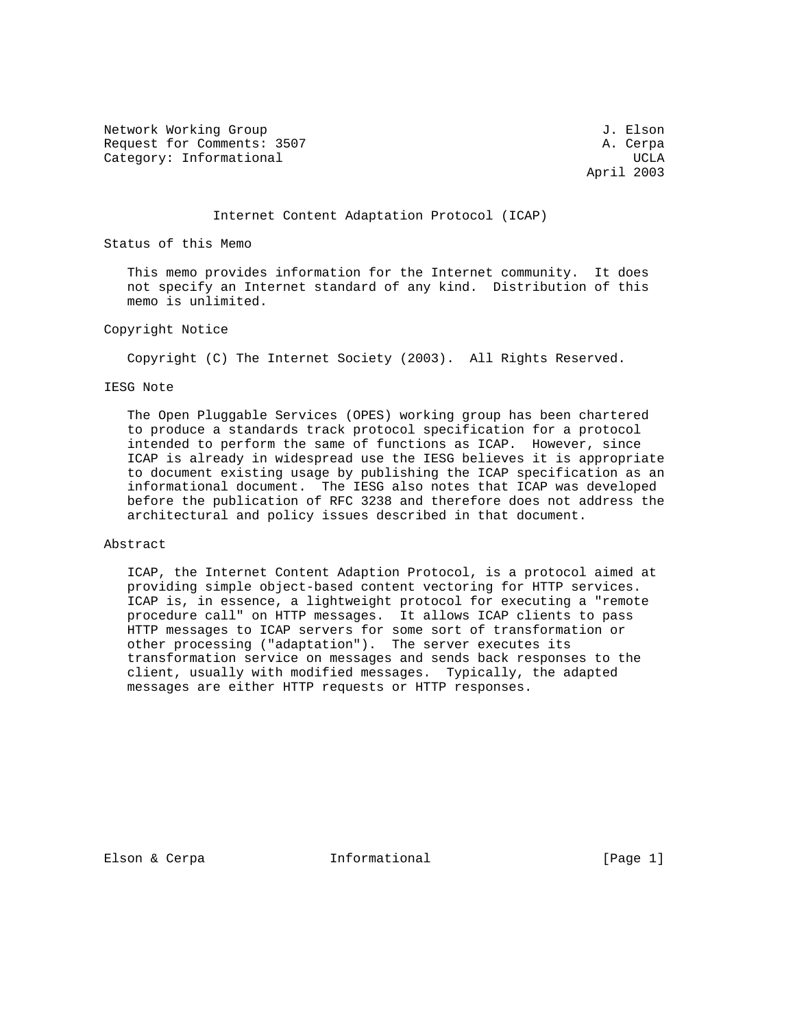Network Working Group 3. Elson 3. Elson 3. Elson 3. Elson 3. Elson 3. Elson 3. Elson 3. Elson 3. Elson 3. Elson Request for Comments: 3507 A. Cerpa Category: Informational and the contraction of the contraction of the contraction of the contraction of the contraction of the contraction of the contraction of the contraction of the contraction of the contraction of the

April 2003

Internet Content Adaptation Protocol (ICAP)

Status of this Memo

 This memo provides information for the Internet community. It does not specify an Internet standard of any kind. Distribution of this memo is unlimited.

# Copyright Notice

Copyright (C) The Internet Society (2003). All Rights Reserved.

#### IESG Note

 The Open Pluggable Services (OPES) working group has been chartered to produce a standards track protocol specification for a protocol intended to perform the same of functions as ICAP. However, since ICAP is already in widespread use the IESG believes it is appropriate to document existing usage by publishing the ICAP specification as an informational document. The IESG also notes that ICAP was developed before the publication of RFC 3238 and therefore does not address the architectural and policy issues described in that document.

#### Abstract

 ICAP, the Internet Content Adaption Protocol, is a protocol aimed at providing simple object-based content vectoring for HTTP services. ICAP is, in essence, a lightweight protocol for executing a "remote procedure call" on HTTP messages. It allows ICAP clients to pass HTTP messages to ICAP servers for some sort of transformation or other processing ("adaptation"). The server executes its transformation service on messages and sends back responses to the client, usually with modified messages. Typically, the adapted messages are either HTTP requests or HTTP responses.

Elson & Cerpa **Informational** [Page 1]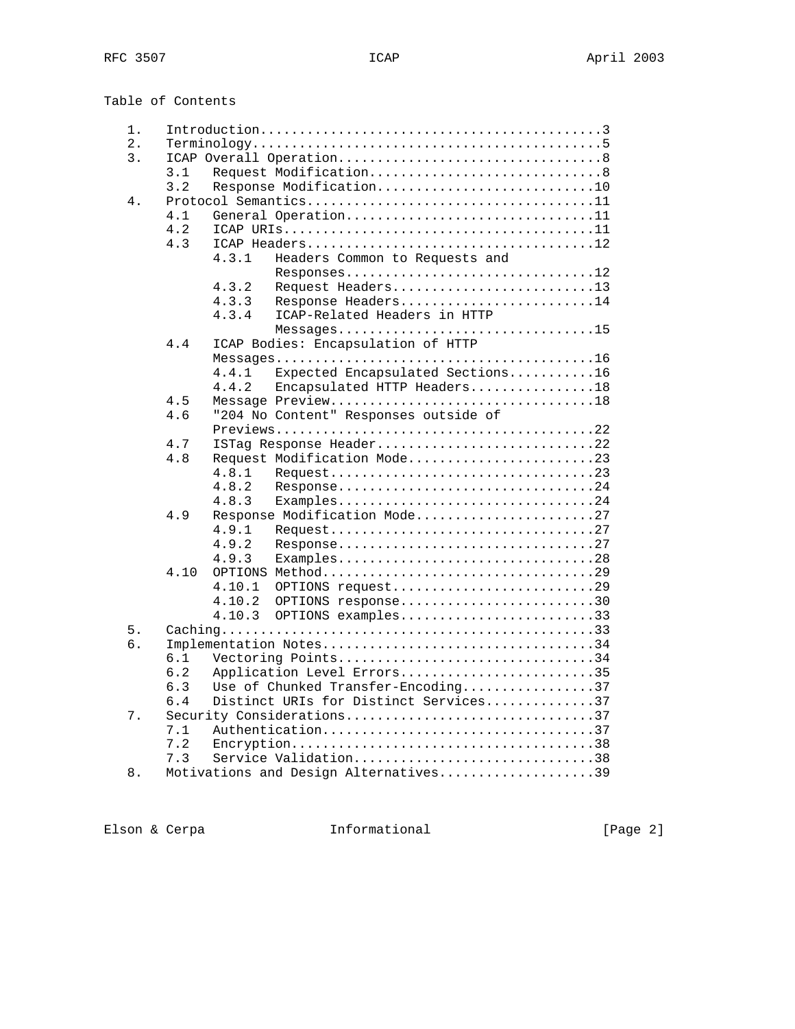Table of Contents

| 1. |                            |                                    |                                       |  |  |  |  |  |
|----|----------------------------|------------------------------------|---------------------------------------|--|--|--|--|--|
| 2. |                            |                                    |                                       |  |  |  |  |  |
| 3. |                            |                                    |                                       |  |  |  |  |  |
|    | 3.1                        |                                    | Request Modification8                 |  |  |  |  |  |
|    | 3.2                        | Response Modification10            |                                       |  |  |  |  |  |
| 4. |                            |                                    |                                       |  |  |  |  |  |
|    | 4.1<br>General Operation11 |                                    |                                       |  |  |  |  |  |
|    | 4.2                        |                                    |                                       |  |  |  |  |  |
|    | 4.3                        |                                    |                                       |  |  |  |  |  |
|    |                            | 4.3.1                              | Headers Common to Requests and        |  |  |  |  |  |
|    |                            |                                    | Responses12                           |  |  |  |  |  |
|    |                            | 4.3.2                              | Request Headers13                     |  |  |  |  |  |
|    |                            | 4.3.3                              | Response Headers14                    |  |  |  |  |  |
|    |                            | 4.3.4                              | ICAP-Related Headers in HTTP          |  |  |  |  |  |
|    |                            |                                    |                                       |  |  |  |  |  |
|    | 4.4                        |                                    | ICAP Bodies: Encapsulation of HTTP    |  |  |  |  |  |
|    |                            |                                    |                                       |  |  |  |  |  |
|    |                            | 4.4.1                              | Expected Encapsulated Sections16      |  |  |  |  |  |
|    |                            | 4.4.2                              | Encapsulated HTTP Headers18           |  |  |  |  |  |
|    | 4.5                        |                                    | Message Preview18                     |  |  |  |  |  |
|    | 4.6                        |                                    | "204 No Content" Responses outside of |  |  |  |  |  |
|    |                            |                                    |                                       |  |  |  |  |  |
|    | 4.7                        |                                    | ISTag Response Header22               |  |  |  |  |  |
|    | 4.8                        |                                    | Request Modification Mode23           |  |  |  |  |  |
|    |                            | 4.8.1                              |                                       |  |  |  |  |  |
|    |                            | 4.8.2                              | Response24                            |  |  |  |  |  |
|    |                            | 4.8.3                              | Examples24                            |  |  |  |  |  |
|    | 4.9                        |                                    | Response Modification Mode27          |  |  |  |  |  |
|    |                            | 4.9.1                              |                                       |  |  |  |  |  |
|    |                            | 4.9.2                              |                                       |  |  |  |  |  |
|    |                            | 4.9.3                              | Examples28                            |  |  |  |  |  |
|    | 4.10                       |                                    |                                       |  |  |  |  |  |
|    |                            | 4.10.1                             | OPTIONS request29                     |  |  |  |  |  |
|    |                            | 4.10.2                             | OPTIONS response30                    |  |  |  |  |  |
|    |                            | 4.10.3                             | OPTIONS examples33                    |  |  |  |  |  |
| 5. |                            |                                    |                                       |  |  |  |  |  |
| б. |                            |                                    | Implementation Notes34                |  |  |  |  |  |
|    | 6.1                        |                                    | Vectoring Points34                    |  |  |  |  |  |
|    | 6.2                        |                                    | Application Level Errors35            |  |  |  |  |  |
|    | 6.3                        | Use of Chunked Transfer-Encoding37 |                                       |  |  |  |  |  |
|    | 6.4                        |                                    | Distinct URIs for Distinct Services37 |  |  |  |  |  |
| 7. | Security Considerations37  |                                    |                                       |  |  |  |  |  |
|    | Authentication37<br>7.1    |                                    |                                       |  |  |  |  |  |
|    |                            |                                    |                                       |  |  |  |  |  |
|    | 7.2<br>7.3                 |                                    | Service Validation38                  |  |  |  |  |  |
| 8. |                            |                                    | Motivations and Design Alternatives39 |  |  |  |  |  |
|    |                            |                                    |                                       |  |  |  |  |  |

Elson & Cerpa  $I_n$  Informational (Page 2)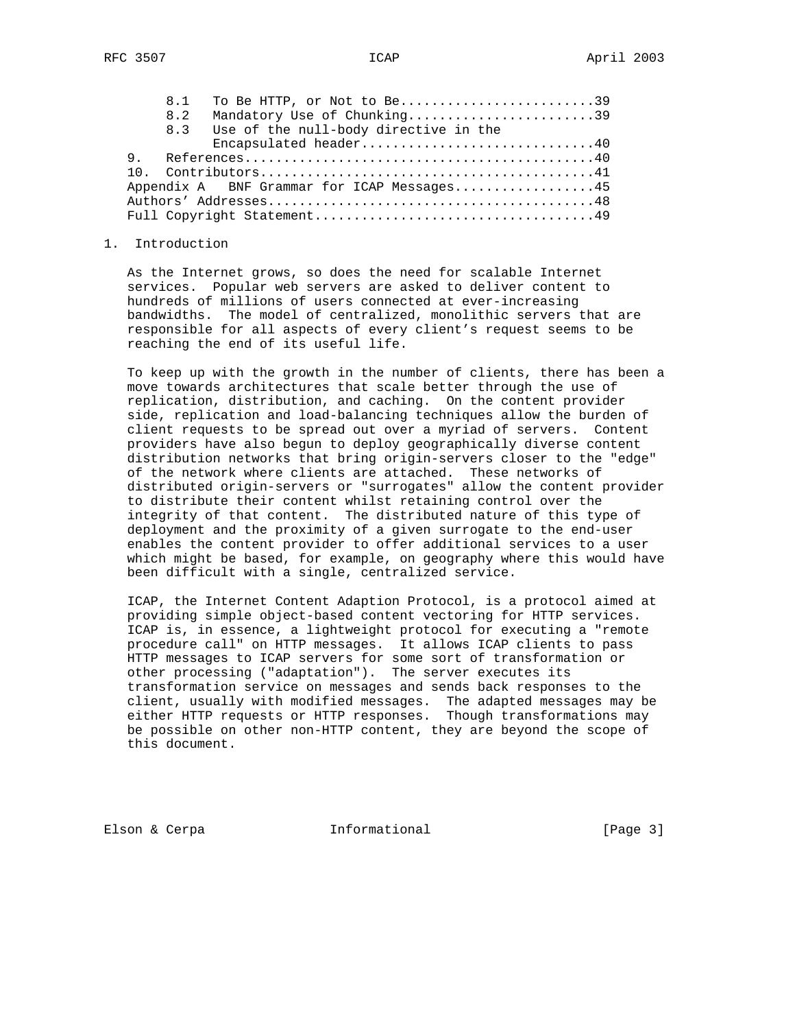| 8.1 | To Be HTTP, or Not to Be39                 |
|-----|--------------------------------------------|
| 8.2 | Mandatory Use of Chunking39                |
| 8.3 | Use of the null-body directive in the      |
|     | Encapsulated header40                      |
|     |                                            |
|     |                                            |
|     | Appendix A BNF Grammar for ICAP Messages45 |
|     |                                            |
|     |                                            |

## 1. Introduction

 As the Internet grows, so does the need for scalable Internet services. Popular web servers are asked to deliver content to hundreds of millions of users connected at ever-increasing bandwidths. The model of centralized, monolithic servers that are responsible for all aspects of every client's request seems to be reaching the end of its useful life.

 To keep up with the growth in the number of clients, there has been a move towards architectures that scale better through the use of replication, distribution, and caching. On the content provider side, replication and load-balancing techniques allow the burden of client requests to be spread out over a myriad of servers. Content providers have also begun to deploy geographically diverse content distribution networks that bring origin-servers closer to the "edge" of the network where clients are attached. These networks of distributed origin-servers or "surrogates" allow the content provider to distribute their content whilst retaining control over the integrity of that content. The distributed nature of this type of deployment and the proximity of a given surrogate to the end-user enables the content provider to offer additional services to a user which might be based, for example, on geography where this would have been difficult with a single, centralized service.

 ICAP, the Internet Content Adaption Protocol, is a protocol aimed at providing simple object-based content vectoring for HTTP services. ICAP is, in essence, a lightweight protocol for executing a "remote procedure call" on HTTP messages. It allows ICAP clients to pass HTTP messages to ICAP servers for some sort of transformation or other processing ("adaptation"). The server executes its transformation service on messages and sends back responses to the client, usually with modified messages. The adapted messages may be either HTTP requests or HTTP responses. Though transformations may be possible on other non-HTTP content, they are beyond the scope of this document.

Elson & Cerpa **Informational** [Page 3]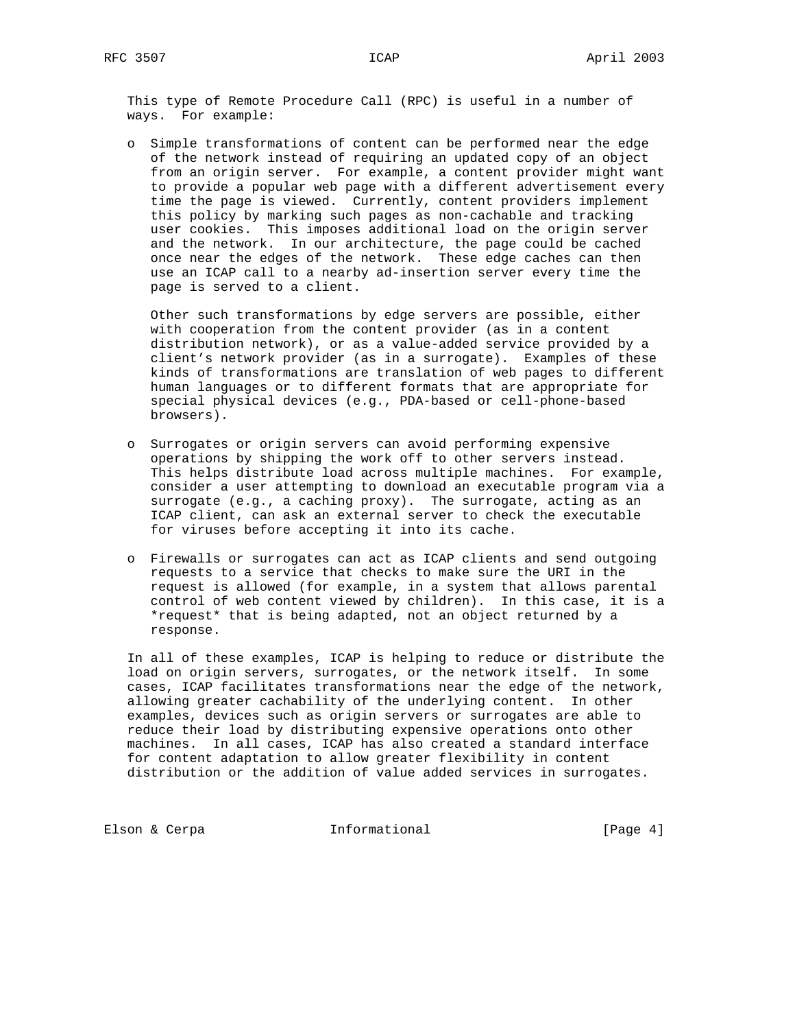This type of Remote Procedure Call (RPC) is useful in a number of ways. For example:

 o Simple transformations of content can be performed near the edge of the network instead of requiring an updated copy of an object from an origin server. For example, a content provider might want to provide a popular web page with a different advertisement every time the page is viewed. Currently, content providers implement this policy by marking such pages as non-cachable and tracking user cookies. This imposes additional load on the origin server and the network. In our architecture, the page could be cached once near the edges of the network. These edge caches can then use an ICAP call to a nearby ad-insertion server every time the page is served to a client.

 Other such transformations by edge servers are possible, either with cooperation from the content provider (as in a content distribution network), or as a value-added service provided by a client's network provider (as in a surrogate). Examples of these kinds of transformations are translation of web pages to different human languages or to different formats that are appropriate for special physical devices (e.g., PDA-based or cell-phone-based browsers).

- o Surrogates or origin servers can avoid performing expensive operations by shipping the work off to other servers instead. This helps distribute load across multiple machines. For example, consider a user attempting to download an executable program via a surrogate (e.g., a caching proxy). The surrogate, acting as an ICAP client, can ask an external server to check the executable for viruses before accepting it into its cache.
- o Firewalls or surrogates can act as ICAP clients and send outgoing requests to a service that checks to make sure the URI in the request is allowed (for example, in a system that allows parental control of web content viewed by children). In this case, it is a \*request\* that is being adapted, not an object returned by a response.

 In all of these examples, ICAP is helping to reduce or distribute the load on origin servers, surrogates, or the network itself. In some cases, ICAP facilitates transformations near the edge of the network, allowing greater cachability of the underlying content. In other examples, devices such as origin servers or surrogates are able to reduce their load by distributing expensive operations onto other machines. In all cases, ICAP has also created a standard interface for content adaptation to allow greater flexibility in content distribution or the addition of value added services in surrogates.

Elson & Cerpa **Informational** [Page 4]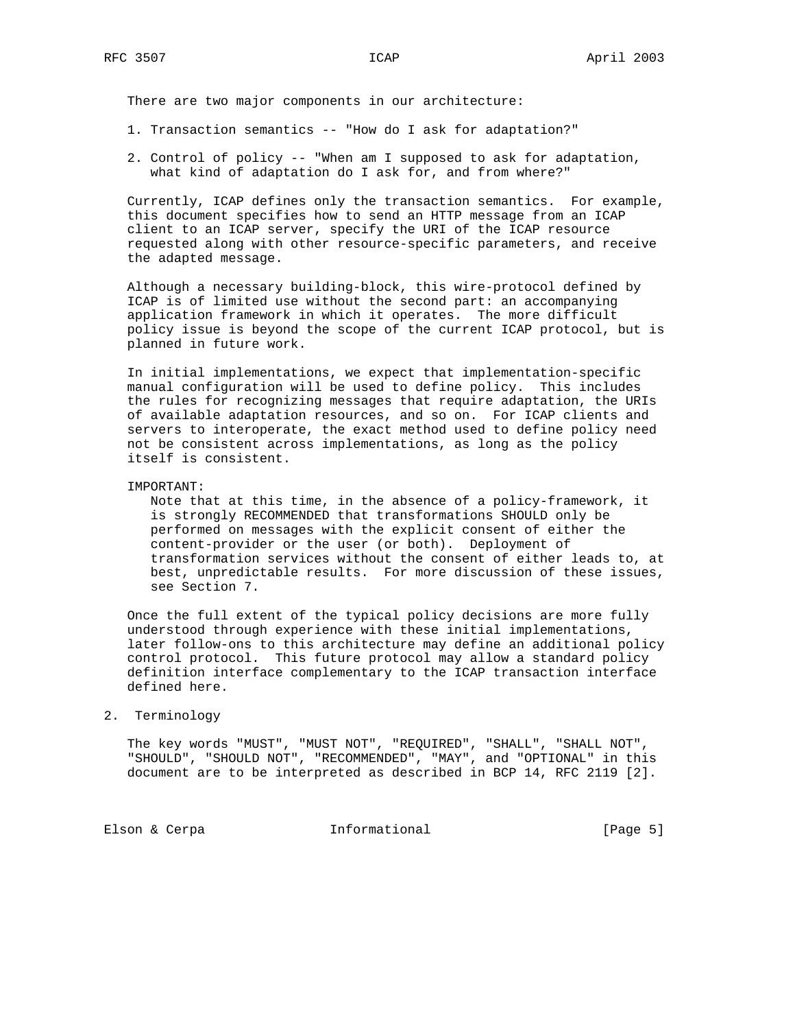There are two major components in our architecture:

- 1. Transaction semantics -- "How do I ask for adaptation?"
- 2. Control of policy -- "When am I supposed to ask for adaptation, what kind of adaptation do I ask for, and from where?"

 Currently, ICAP defines only the transaction semantics. For example, this document specifies how to send an HTTP message from an ICAP client to an ICAP server, specify the URI of the ICAP resource requested along with other resource-specific parameters, and receive the adapted message.

 Although a necessary building-block, this wire-protocol defined by ICAP is of limited use without the second part: an accompanying application framework in which it operates. The more difficult policy issue is beyond the scope of the current ICAP protocol, but is planned in future work.

 In initial implementations, we expect that implementation-specific manual configuration will be used to define policy. This includes the rules for recognizing messages that require adaptation, the URIs of available adaptation resources, and so on. For ICAP clients and servers to interoperate, the exact method used to define policy need not be consistent across implementations, as long as the policy itself is consistent.

### IMPORTANT:

 Note that at this time, in the absence of a policy-framework, it is strongly RECOMMENDED that transformations SHOULD only be performed on messages with the explicit consent of either the content-provider or the user (or both). Deployment of transformation services without the consent of either leads to, at best, unpredictable results. For more discussion of these issues, see Section 7.

 Once the full extent of the typical policy decisions are more fully understood through experience with these initial implementations, later follow-ons to this architecture may define an additional policy control protocol. This future protocol may allow a standard policy definition interface complementary to the ICAP transaction interface defined here.

#### 2. Terminology

 The key words "MUST", "MUST NOT", "REQUIRED", "SHALL", "SHALL NOT", "SHOULD", "SHOULD NOT", "RECOMMENDED", "MAY", and "OPTIONAL" in this document are to be interpreted as described in BCP 14, RFC 2119 [2].

Elson & Cerpa **Informational Elson & Cerpa Informational Elson** [Page 5]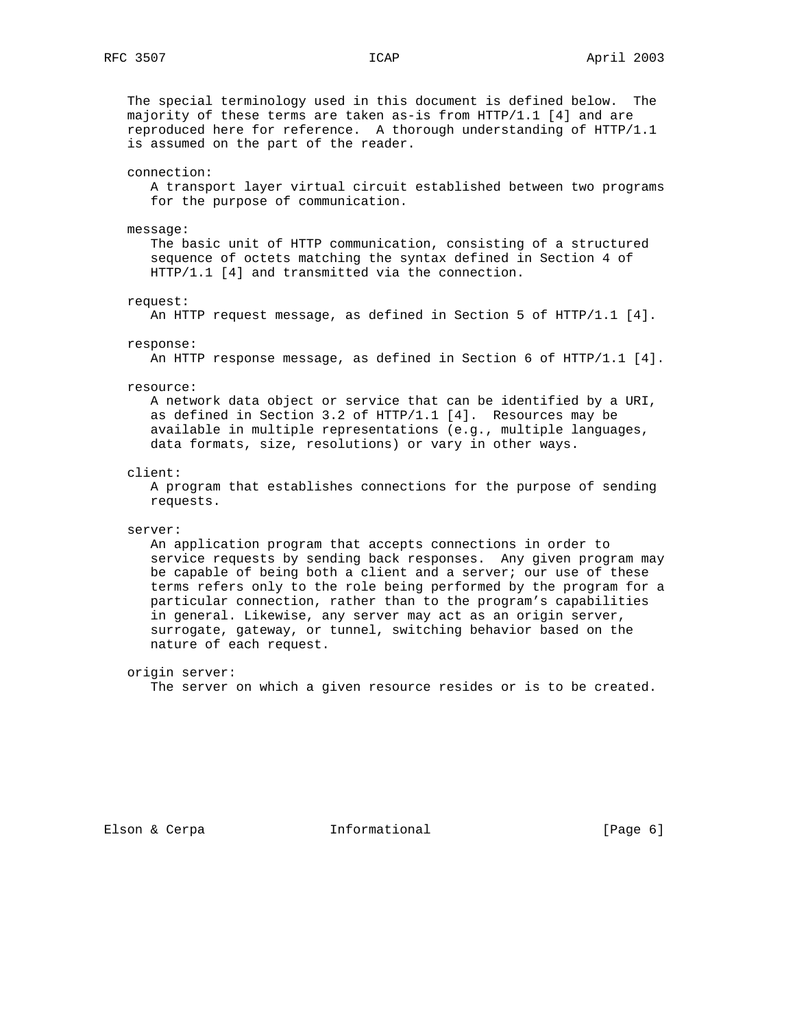The special terminology used in this document is defined below. The majority of these terms are taken as-is from HTTP/1.1 [4] and are reproduced here for reference. A thorough understanding of HTTP/1.1 is assumed on the part of the reader.

connection:

 A transport layer virtual circuit established between two programs for the purpose of communication.

message:

 The basic unit of HTTP communication, consisting of a structured sequence of octets matching the syntax defined in Section 4 of HTTP/1.1 [4] and transmitted via the connection.

request:

An HTTP request message, as defined in Section 5 of HTTP/1.1 [4].

response:

An HTTP response message, as defined in Section 6 of HTTP/1.1 [4].

resource:

 A network data object or service that can be identified by a URI, as defined in Section 3.2 of HTTP/1.1 [4]. Resources may be available in multiple representations (e.g., multiple languages, data formats, size, resolutions) or vary in other ways.

client:

 A program that establishes connections for the purpose of sending requests.

#### server:

 An application program that accepts connections in order to service requests by sending back responses. Any given program may be capable of being both a client and a server; our use of these terms refers only to the role being performed by the program for a particular connection, rather than to the program's capabilities in general. Likewise, any server may act as an origin server, surrogate, gateway, or tunnel, switching behavior based on the nature of each request.

origin server:

The server on which a given resource resides or is to be created.

Elson & Cerpa **Informational** [Page 6]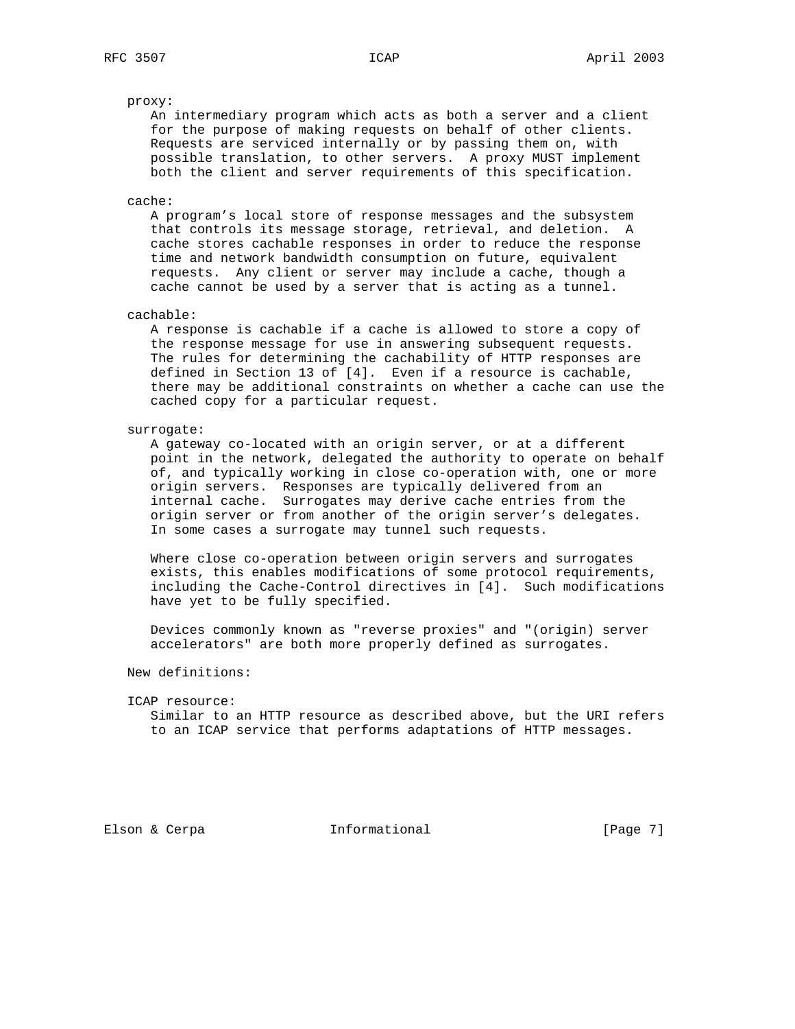#### proxy:

 An intermediary program which acts as both a server and a client for the purpose of making requests on behalf of other clients. Requests are serviced internally or by passing them on, with possible translation, to other servers. A proxy MUST implement both the client and server requirements of this specification.

#### cache:

 A program's local store of response messages and the subsystem that controls its message storage, retrieval, and deletion. A cache stores cachable responses in order to reduce the response time and network bandwidth consumption on future, equivalent requests. Any client or server may include a cache, though a cache cannot be used by a server that is acting as a tunnel.

#### cachable:

 A response is cachable if a cache is allowed to store a copy of the response message for use in answering subsequent requests. The rules for determining the cachability of HTTP responses are defined in Section 13 of [4]. Even if a resource is cachable, there may be additional constraints on whether a cache can use the cached copy for a particular request.

#### surrogate:

 A gateway co-located with an origin server, or at a different point in the network, delegated the authority to operate on behalf of, and typically working in close co-operation with, one or more origin servers. Responses are typically delivered from an internal cache. Surrogates may derive cache entries from the origin server or from another of the origin server's delegates. In some cases a surrogate may tunnel such requests.

 Where close co-operation between origin servers and surrogates exists, this enables modifications of some protocol requirements, including the Cache-Control directives in [4]. Such modifications have yet to be fully specified.

 Devices commonly known as "reverse proxies" and "(origin) server accelerators" are both more properly defined as surrogates.

New definitions:

#### ICAP resource:

 Similar to an HTTP resource as described above, but the URI refers to an ICAP service that performs adaptations of HTTP messages.

Elson & Cerpa **Informational** [Page 7]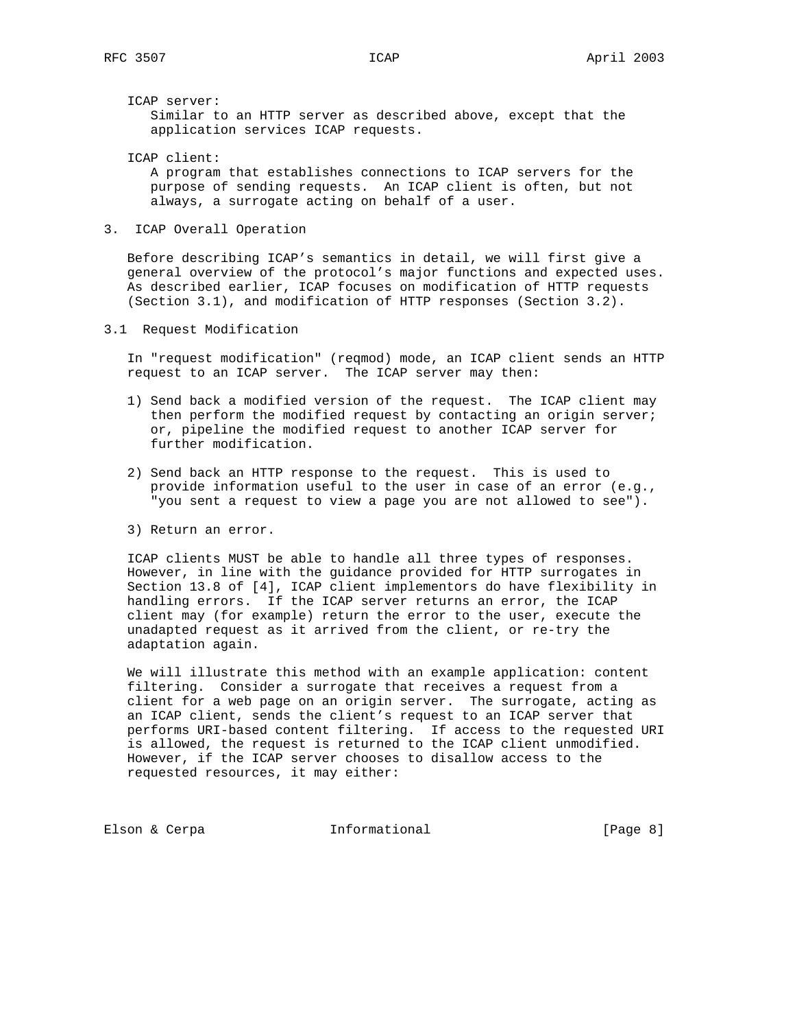ICAP server:

 Similar to an HTTP server as described above, except that the application services ICAP requests.

 ICAP client: A program that establishes connections to ICAP servers for the purpose of sending requests. An ICAP client is often, but not always, a surrogate acting on behalf of a user.

3. ICAP Overall Operation

 Before describing ICAP's semantics in detail, we will first give a general overview of the protocol's major functions and expected uses. As described earlier, ICAP focuses on modification of HTTP requests (Section 3.1), and modification of HTTP responses (Section 3.2).

3.1 Request Modification

 In "request modification" (reqmod) mode, an ICAP client sends an HTTP request to an ICAP server. The ICAP server may then:

- 1) Send back a modified version of the request. The ICAP client may then perform the modified request by contacting an origin server; or, pipeline the modified request to another ICAP server for further modification.
- 2) Send back an HTTP response to the request. This is used to provide information useful to the user in case of an error (e.g., "you sent a request to view a page you are not allowed to see").
- 3) Return an error.

 ICAP clients MUST be able to handle all three types of responses. However, in line with the guidance provided for HTTP surrogates in Section 13.8 of [4], ICAP client implementors do have flexibility in handling errors. If the ICAP server returns an error, the ICAP client may (for example) return the error to the user, execute the unadapted request as it arrived from the client, or re-try the adaptation again.

 We will illustrate this method with an example application: content filtering. Consider a surrogate that receives a request from a client for a web page on an origin server. The surrogate, acting as an ICAP client, sends the client's request to an ICAP server that performs URI-based content filtering. If access to the requested URI is allowed, the request is returned to the ICAP client unmodified. However, if the ICAP server chooses to disallow access to the requested resources, it may either:

Elson & Cerpa **Informational Elson & Cerpa Informational**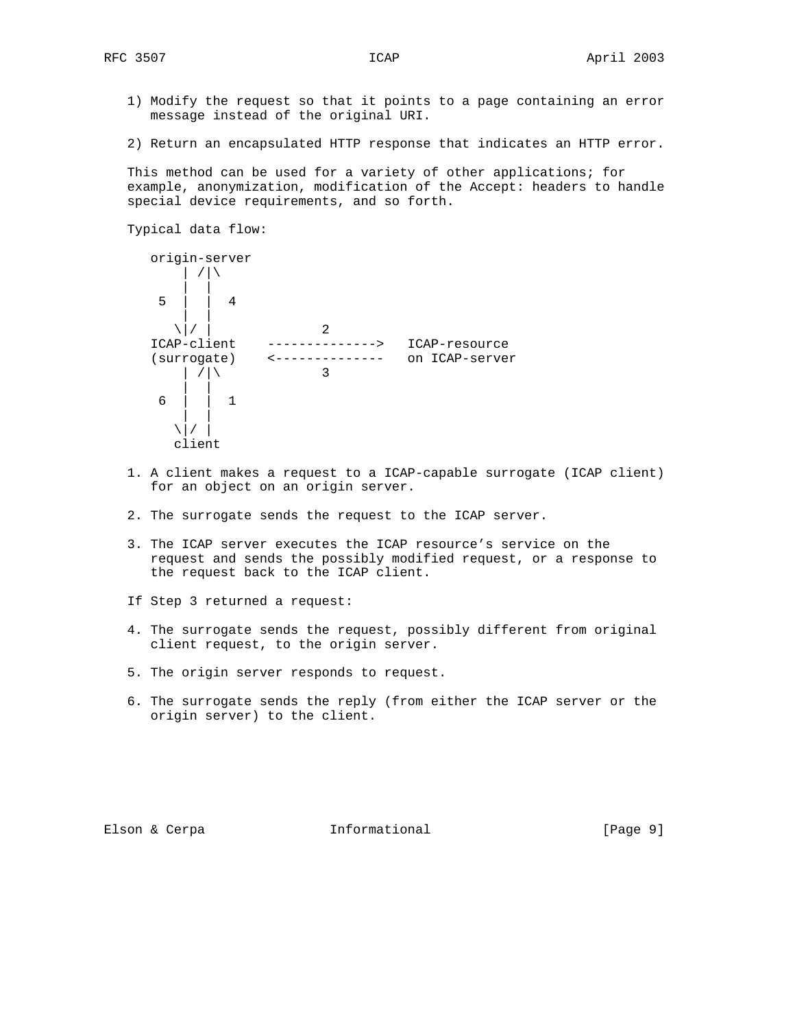- 1) Modify the request so that it points to a page containing an error message instead of the original URI.
- 2) Return an encapsulated HTTP response that indicates an HTTP error.

 This method can be used for a variety of other applications; for example, anonymization, modification of the Accept: headers to handle special device requirements, and so forth.

```
 Typical data flow:
```

```
 origin-server
          | /|\
 | |
       5 | | 4
 | |
     \sqrt{|} / | 2<br>ICAP-client ---------
                   --------------> ICAP-resource
      (surrogate) <-------------- on ICAP-server
         | / |\rangle 3
 | |
       6 | | 1
 | |
        \setminus | /
         client
```
- 1. A client makes a request to a ICAP-capable surrogate (ICAP client) for an object on an origin server.
- 2. The surrogate sends the request to the ICAP server.
- 3. The ICAP server executes the ICAP resource's service on the request and sends the possibly modified request, or a response to the request back to the ICAP client.
- If Step 3 returned a request:
- 4. The surrogate sends the request, possibly different from original client request, to the origin server.
- 5. The origin server responds to request.
- 6. The surrogate sends the reply (from either the ICAP server or the origin server) to the client.

Elson & Cerpa  $I_n$  Informational (Page 9)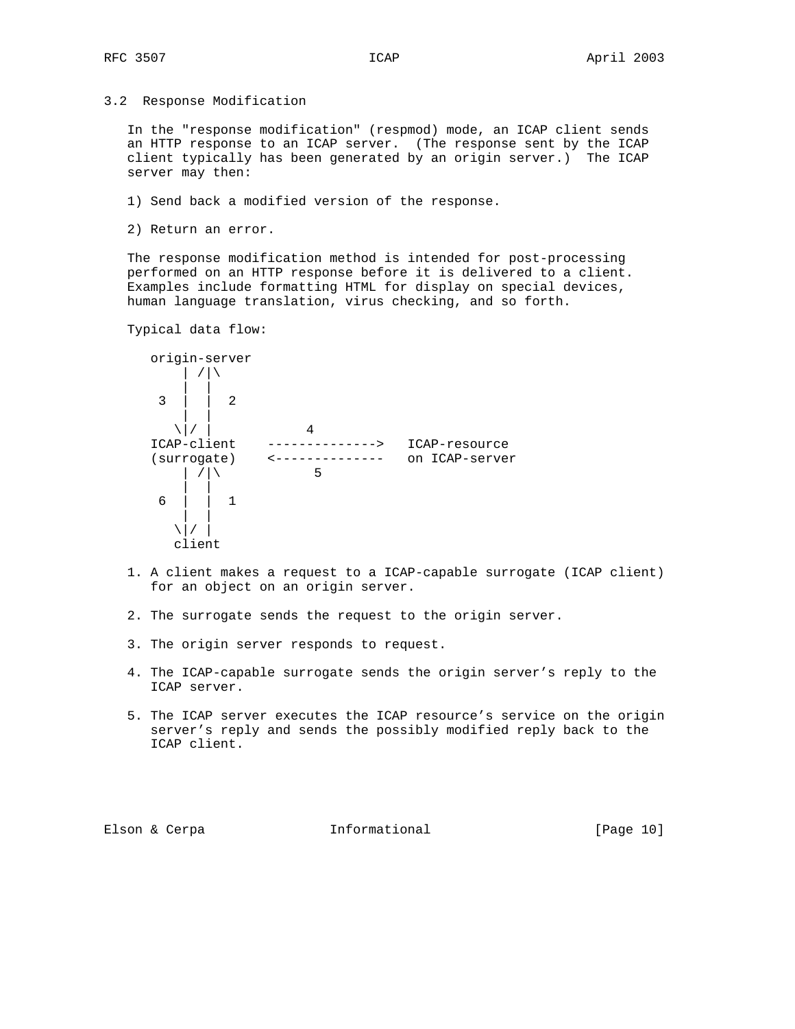3.2 Response Modification

 In the "response modification" (respmod) mode, an ICAP client sends an HTTP response to an ICAP server. (The response sent by the ICAP client typically has been generated by an origin server.) The ICAP server may then:

- 1) Send back a modified version of the response.
- 2) Return an error.

 The response modification method is intended for post-processing performed on an HTTP response before it is delivered to a client. Examples include formatting HTML for display on special devices, human language translation, virus checking, and so forth.

Typical data flow:



- 1. A client makes a request to a ICAP-capable surrogate (ICAP client) for an object on an origin server.
- 2. The surrogate sends the request to the origin server.
- 3. The origin server responds to request.
- 4. The ICAP-capable surrogate sends the origin server's reply to the ICAP server.
- 5. The ICAP server executes the ICAP resource's service on the origin server's reply and sends the possibly modified reply back to the ICAP client.

Elson & Cerpa **Informational** [Page 10]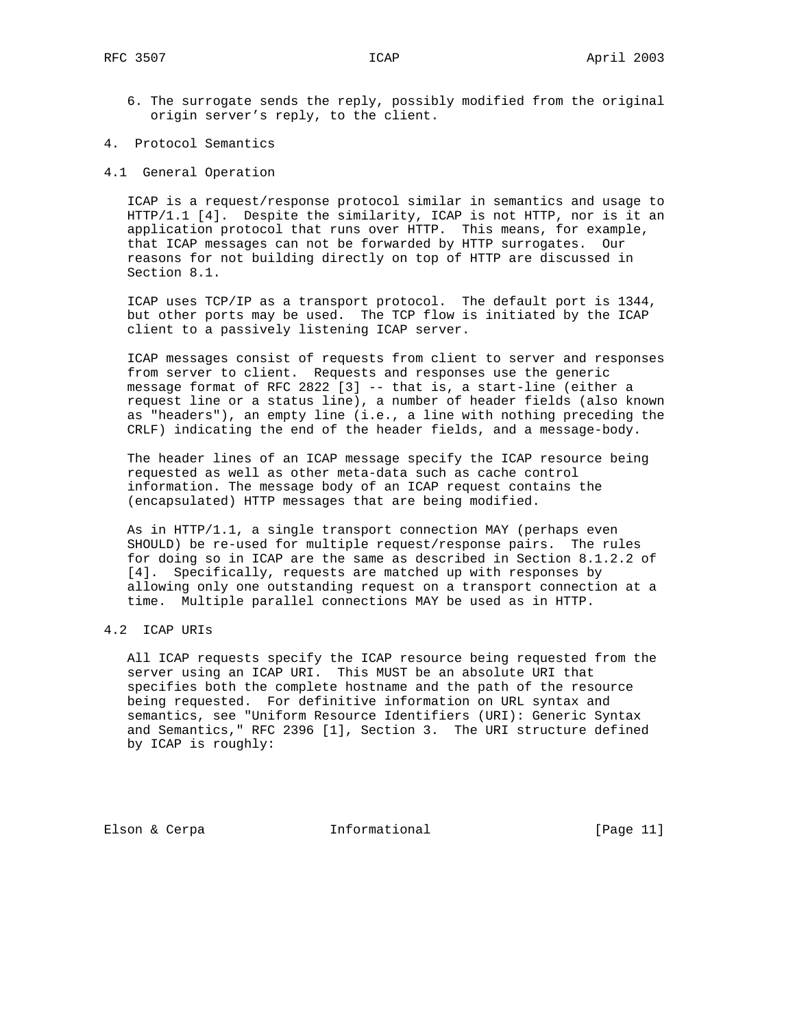- 6. The surrogate sends the reply, possibly modified from the original origin server's reply, to the client.
- 4. Protocol Semantics
- 4.1 General Operation

 ICAP is a request/response protocol similar in semantics and usage to HTTP/1.1 [4]. Despite the similarity, ICAP is not HTTP, nor is it an application protocol that runs over HTTP. This means, for example, that ICAP messages can not be forwarded by HTTP surrogates. Our reasons for not building directly on top of HTTP are discussed in Section 8.1.

 ICAP uses TCP/IP as a transport protocol. The default port is 1344, but other ports may be used. The TCP flow is initiated by the ICAP client to a passively listening ICAP server.

 ICAP messages consist of requests from client to server and responses from server to client. Requests and responses use the generic message format of RFC 2822 [3] -- that is, a start-line (either a request line or a status line), a number of header fields (also known as "headers"), an empty line (i.e., a line with nothing preceding the CRLF) indicating the end of the header fields, and a message-body.

 The header lines of an ICAP message specify the ICAP resource being requested as well as other meta-data such as cache control information. The message body of an ICAP request contains the (encapsulated) HTTP messages that are being modified.

 As in HTTP/1.1, a single transport connection MAY (perhaps even SHOULD) be re-used for multiple request/response pairs. The rules for doing so in ICAP are the same as described in Section 8.1.2.2 of [4]. Specifically, requests are matched up with responses by allowing only one outstanding request on a transport connection at a time. Multiple parallel connections MAY be used as in HTTP.

# 4.2 ICAP URIs

 All ICAP requests specify the ICAP resource being requested from the server using an ICAP URI. This MUST be an absolute URI that specifies both the complete hostname and the path of the resource being requested. For definitive information on URL syntax and semantics, see "Uniform Resource Identifiers (URI): Generic Syntax and Semantics," RFC 2396 [1], Section 3. The URI structure defined by ICAP is roughly:

Elson & Cerpa **Informational** [Page 11]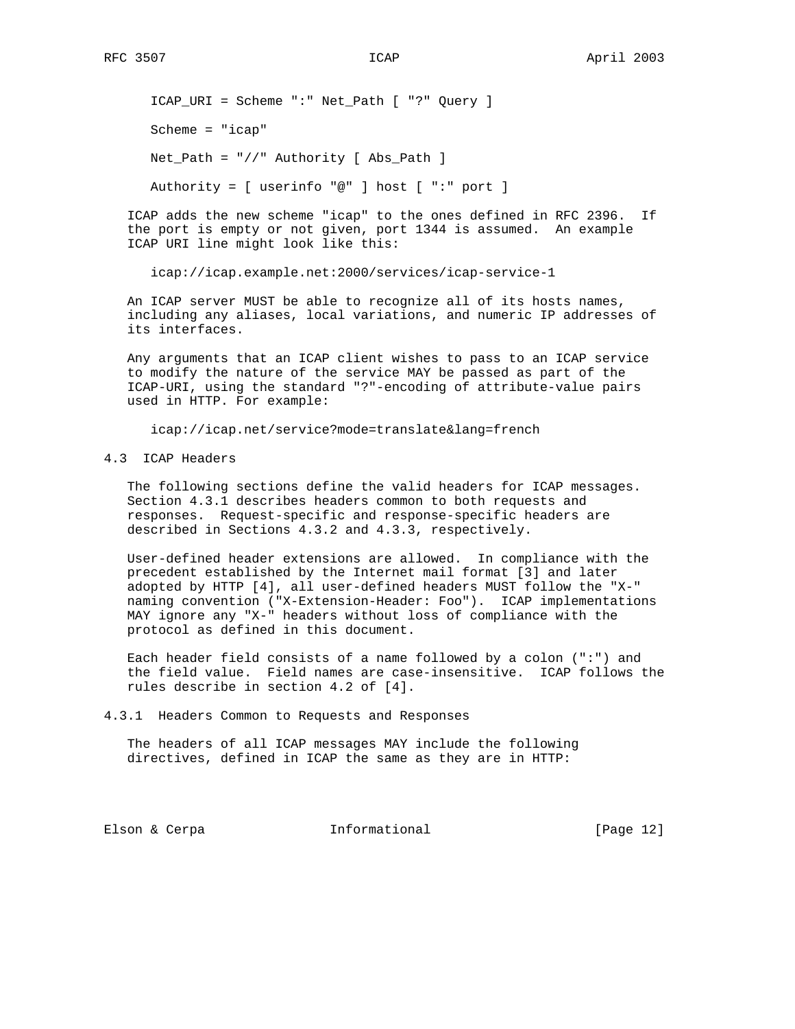ICAP\_URI = Scheme ":" Net\_Path [ "?" Query ] Scheme = "icap" Net\_Path = "//" Authority [ Abs\_Path ]

Authority = [ userinfo "@" ] host [ ":" port ]

 ICAP adds the new scheme "icap" to the ones defined in RFC 2396. If the port is empty or not given, port 1344 is assumed. An example ICAP URI line might look like this:

icap://icap.example.net:2000/services/icap-service-1

 An ICAP server MUST be able to recognize all of its hosts names, including any aliases, local variations, and numeric IP addresses of its interfaces.

 Any arguments that an ICAP client wishes to pass to an ICAP service to modify the nature of the service MAY be passed as part of the ICAP-URI, using the standard "?"-encoding of attribute-value pairs used in HTTP. For example:

icap://icap.net/service?mode=translate&lang=french

### 4.3 ICAP Headers

 The following sections define the valid headers for ICAP messages. Section 4.3.1 describes headers common to both requests and responses. Request-specific and response-specific headers are described in Sections 4.3.2 and 4.3.3, respectively.

 User-defined header extensions are allowed. In compliance with the precedent established by the Internet mail format [3] and later adopted by HTTP [4], all user-defined headers MUST follow the "X-" naming convention ("X-Extension-Header: Foo"). ICAP implementations MAY ignore any "X-" headers without loss of compliance with the protocol as defined in this document.

 Each header field consists of a name followed by a colon (":") and the field value. Field names are case-insensitive. ICAP follows the rules describe in section 4.2 of [4].

4.3.1 Headers Common to Requests and Responses

 The headers of all ICAP messages MAY include the following directives, defined in ICAP the same as they are in HTTP:

Elson & Cerpa **Informational** [Page 12]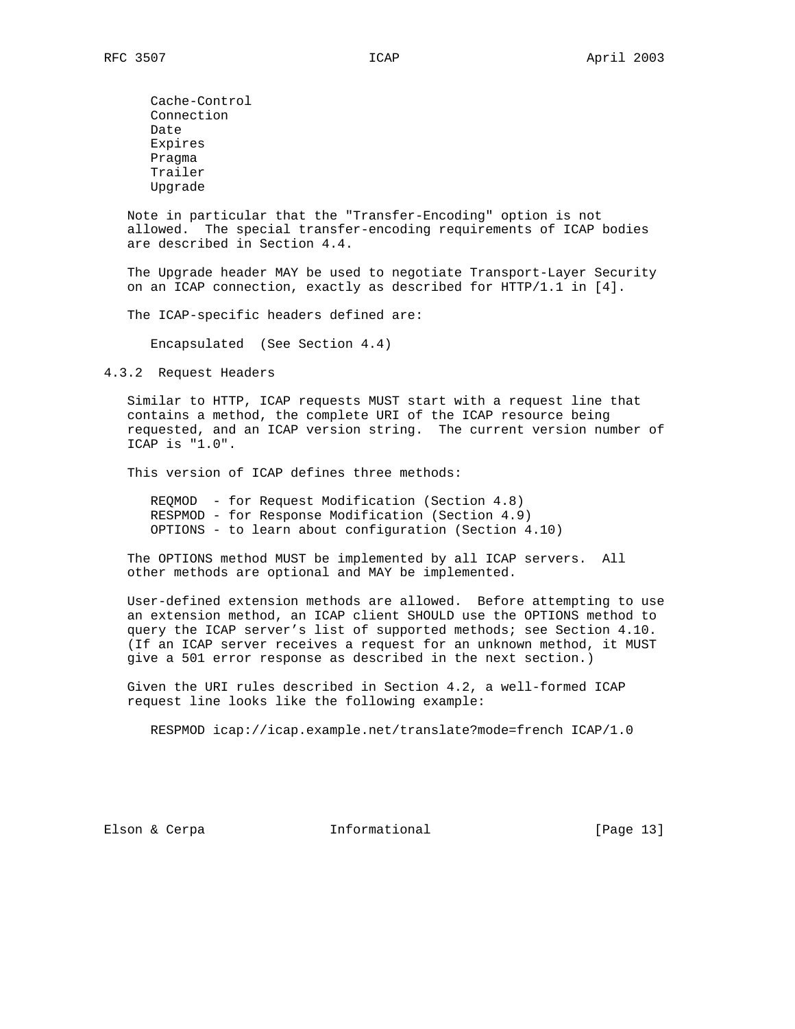Cache-Control Connection Date Expires Pragma Trailer Upgrade

 Note in particular that the "Transfer-Encoding" option is not allowed. The special transfer-encoding requirements of ICAP bodies are described in Section 4.4.

 The Upgrade header MAY be used to negotiate Transport-Layer Security on an ICAP connection, exactly as described for HTTP/1.1 in [4].

The ICAP-specific headers defined are:

Encapsulated (See Section 4.4)

4.3.2 Request Headers

 Similar to HTTP, ICAP requests MUST start with a request line that contains a method, the complete URI of the ICAP resource being requested, and an ICAP version string. The current version number of ICAP is "1.0".

This version of ICAP defines three methods:

 REQMOD - for Request Modification (Section 4.8) RESPMOD - for Response Modification (Section 4.9) OPTIONS - to learn about configuration (Section 4.10)

 The OPTIONS method MUST be implemented by all ICAP servers. All other methods are optional and MAY be implemented.

 User-defined extension methods are allowed. Before attempting to use an extension method, an ICAP client SHOULD use the OPTIONS method to query the ICAP server's list of supported methods; see Section 4.10. (If an ICAP server receives a request for an unknown method, it MUST give a 501 error response as described in the next section.)

 Given the URI rules described in Section 4.2, a well-formed ICAP request line looks like the following example:

RESPMOD icap://icap.example.net/translate?mode=french ICAP/1.0

Elson & Cerpa **Informational** [Page 13]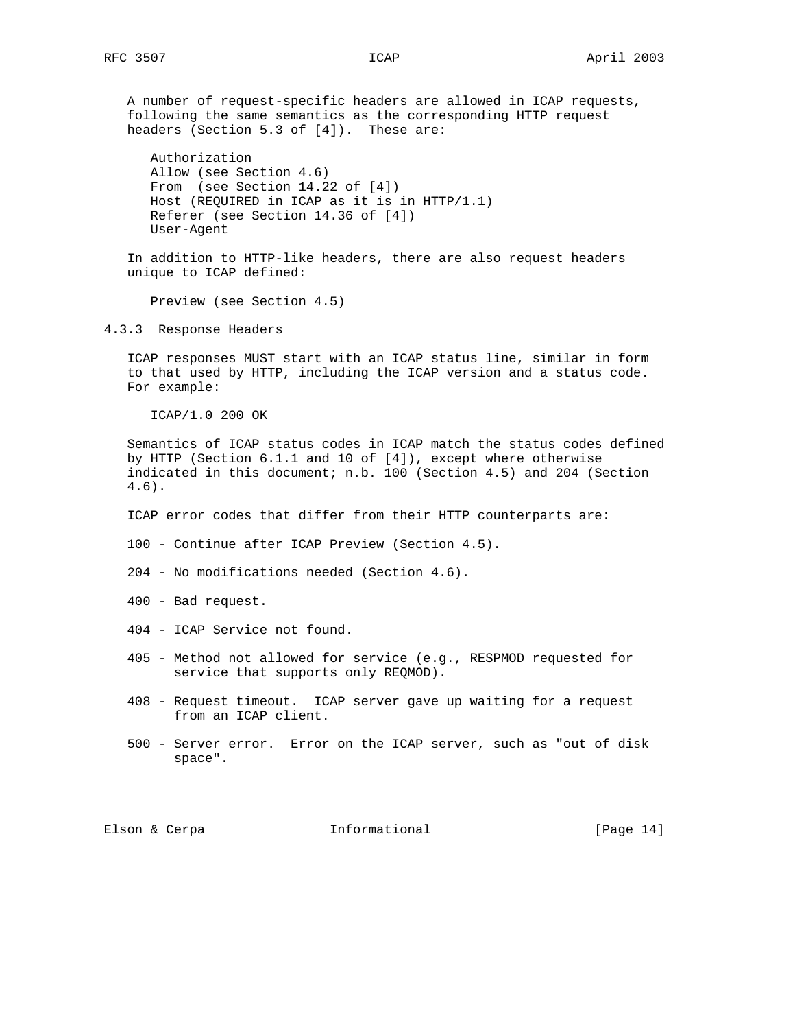A number of request-specific headers are allowed in ICAP requests, following the same semantics as the corresponding HTTP request headers (Section 5.3 of [4]). These are:

 Authorization Allow (see Section 4.6) From (see Section 14.22 of [4]) Host (REQUIRED in ICAP as it is in HTTP/1.1) Referer (see Section 14.36 of [4]) User-Agent

 In addition to HTTP-like headers, there are also request headers unique to ICAP defined:

Preview (see Section 4.5)

4.3.3 Response Headers

 ICAP responses MUST start with an ICAP status line, similar in form to that used by HTTP, including the ICAP version and a status code. For example:

ICAP/1.0 200 OK

 Semantics of ICAP status codes in ICAP match the status codes defined by HTTP (Section 6.1.1 and 10 of [4]), except where otherwise indicated in this document; n.b. 100 (Section 4.5) and 204 (Section 4.6).

ICAP error codes that differ from their HTTP counterparts are:

100 - Continue after ICAP Preview (Section 4.5).

204 - No modifications needed (Section 4.6).

400 - Bad request.

404 - ICAP Service not found.

- 405 Method not allowed for service (e.g., RESPMOD requested for service that supports only REQMOD).
- 408 Request timeout. ICAP server gave up waiting for a request from an ICAP client.
- 500 Server error. Error on the ICAP server, such as "out of disk space".

Elson & Cerpa **Informational** [Page 14]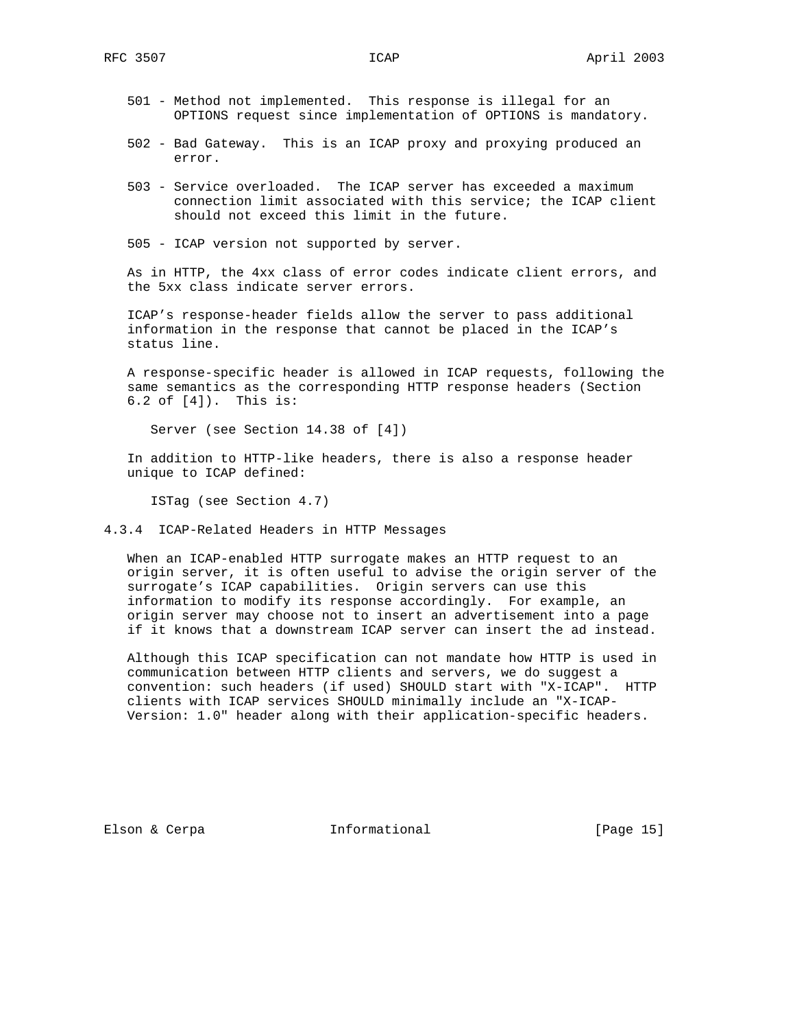- 501 Method not implemented. This response is illegal for an OPTIONS request since implementation of OPTIONS is mandatory.
- 502 Bad Gateway. This is an ICAP proxy and proxying produced an error.
- 503 Service overloaded. The ICAP server has exceeded a maximum connection limit associated with this service; the ICAP client should not exceed this limit in the future.
- 505 ICAP version not supported by server.

 As in HTTP, the 4xx class of error codes indicate client errors, and the 5xx class indicate server errors.

 ICAP's response-header fields allow the server to pass additional information in the response that cannot be placed in the ICAP's status line.

 A response-specific header is allowed in ICAP requests, following the same semantics as the corresponding HTTP response headers (Section 6.2 of [4]). This is:

Server (see Section 14.38 of [4])

 In addition to HTTP-like headers, there is also a response header unique to ICAP defined:

ISTag (see Section 4.7)

4.3.4 ICAP-Related Headers in HTTP Messages

 When an ICAP-enabled HTTP surrogate makes an HTTP request to an origin server, it is often useful to advise the origin server of the surrogate's ICAP capabilities. Origin servers can use this information to modify its response accordingly. For example, an origin server may choose not to insert an advertisement into a page if it knows that a downstream ICAP server can insert the ad instead.

 Although this ICAP specification can not mandate how HTTP is used in communication between HTTP clients and servers, we do suggest a convention: such headers (if used) SHOULD start with "X-ICAP". HTTP clients with ICAP services SHOULD minimally include an "X-ICAP- Version: 1.0" header along with their application-specific headers.

Elson & Cerpa **Informational** [Page 15]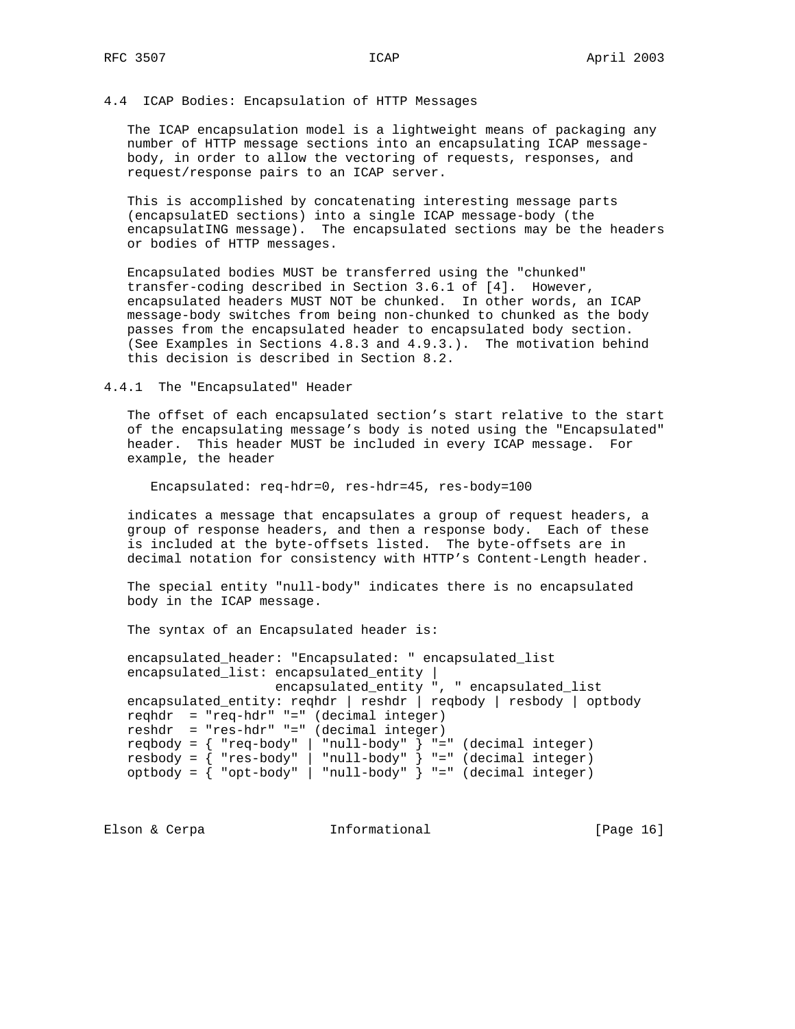### 4.4 ICAP Bodies: Encapsulation of HTTP Messages

 The ICAP encapsulation model is a lightweight means of packaging any number of HTTP message sections into an encapsulating ICAP message body, in order to allow the vectoring of requests, responses, and request/response pairs to an ICAP server.

 This is accomplished by concatenating interesting message parts (encapsulatED sections) into a single ICAP message-body (the encapsulatING message). The encapsulated sections may be the headers or bodies of HTTP messages.

 Encapsulated bodies MUST be transferred using the "chunked" transfer-coding described in Section 3.6.1 of [4]. However, encapsulated headers MUST NOT be chunked. In other words, an ICAP message-body switches from being non-chunked to chunked as the body passes from the encapsulated header to encapsulated body section. (See Examples in Sections 4.8.3 and 4.9.3.). The motivation behind this decision is described in Section 8.2.

#### 4.4.1 The "Encapsulated" Header

 The offset of each encapsulated section's start relative to the start of the encapsulating message's body is noted using the "Encapsulated" header. This header MUST be included in every ICAP message. For example, the header

Encapsulated: req-hdr=0, res-hdr=45, res-body=100

 indicates a message that encapsulates a group of request headers, a group of response headers, and then a response body. Each of these is included at the byte-offsets listed. The byte-offsets are in decimal notation for consistency with HTTP's Content-Length header.

 The special entity "null-body" indicates there is no encapsulated body in the ICAP message.

The syntax of an Encapsulated header is:

 encapsulated\_header: "Encapsulated: " encapsulated\_list encapsulated\_list: encapsulated\_entity | encapsulated\_entity ", " encapsulated\_list encapsulated\_entity: reqhdr | reshdr | reqbody | resbody | optbody reqhdr = "req-hdr" "=" (decimal integer) reshdr = "res-hdr" "=" (decimal integer)  $reqbody = { req-body" | "null-body" } = " (decimal integer)$  resbody = { "res-body" | "null-body" } "=" (decimal integer) optbody = { "opt-body" | "null-body" } "=" (decimal integer)

Elson & Cerpa **Informational** [Page 16]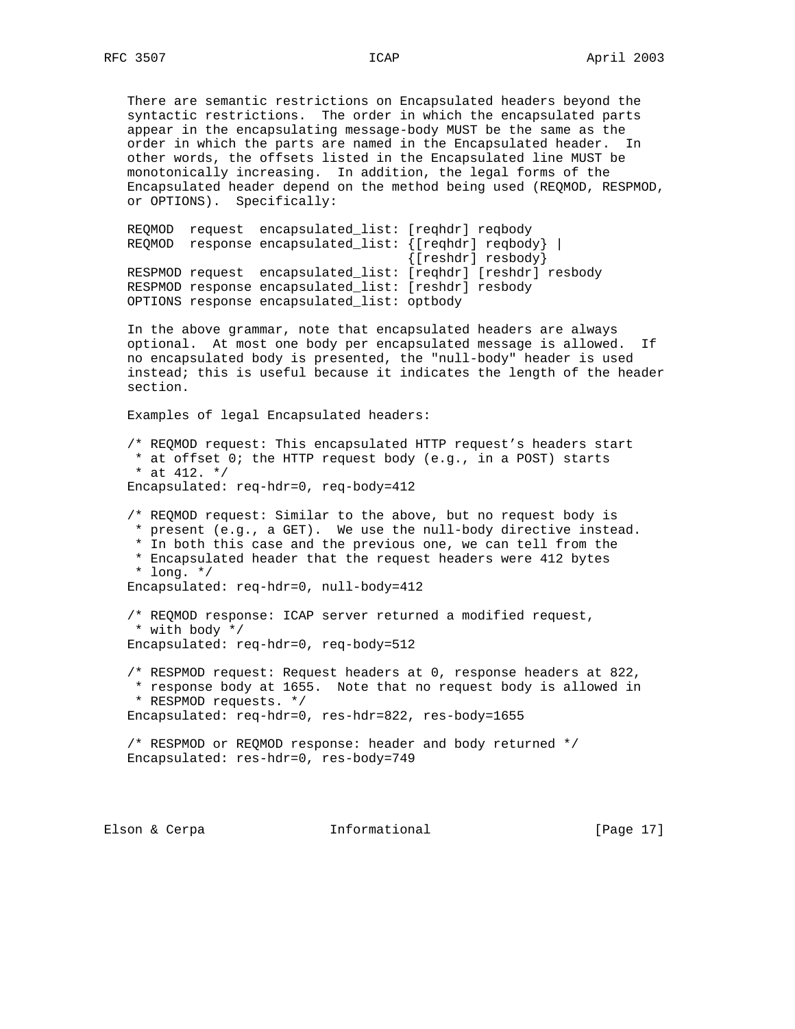There are semantic restrictions on Encapsulated headers beyond the syntactic restrictions. The order in which the encapsulated parts appear in the encapsulating message-body MUST be the same as the order in which the parts are named in the Encapsulated header. In other words, the offsets listed in the Encapsulated line MUST be monotonically increasing. In addition, the legal forms of the Encapsulated header depend on the method being used (REQMOD, RESPMOD, or OPTIONS). Specifically:

 REQMOD request encapsulated\_list: [reqhdr] reqbody REQMOD response encapsulated\_list: {[reqhdr] reqbody} | {[reshdr] resbody} RESPMOD request encapsulated\_list: [reqhdr] [reshdr] resbody RESPMOD response encapsulated\_list: [reshdr] resbody OPTIONS response encapsulated\_list: optbody

 In the above grammar, note that encapsulated headers are always optional. At most one body per encapsulated message is allowed. If no encapsulated body is presented, the "null-body" header is used instead; this is useful because it indicates the length of the header section.

Examples of legal Encapsulated headers:

 /\* REQMOD request: This encapsulated HTTP request's headers start  $a^2$  at offset 0; the HTTP request body (e.g., in a POST) starts \* at 412.  $*/$ Encapsulated: req-hdr=0, req-body=412

 /\* REQMOD request: Similar to the above, but no request body is \* present (e.g., a GET). We use the null-body directive instead. \* In both this case and the previous one, we can tell from the \* Encapsulated header that the request headers were 412 bytes \* long. \*/ Encapsulated: req-hdr=0, null-body=412

 /\* REQMOD response: ICAP server returned a modified request, \* with body \*/ Encapsulated: req-hdr=0, req-body=512

 /\* RESPMOD request: Request headers at 0, response headers at 822, \* response body at 1655. Note that no request body is allowed in \* RESPMOD requests. \*/ Encapsulated: req-hdr=0, res-hdr=822, res-body=1655

 /\* RESPMOD or REQMOD response: header and body returned \*/ Encapsulated: res-hdr=0, res-body=749

Elson & Cerpa **Informational** [Page 17]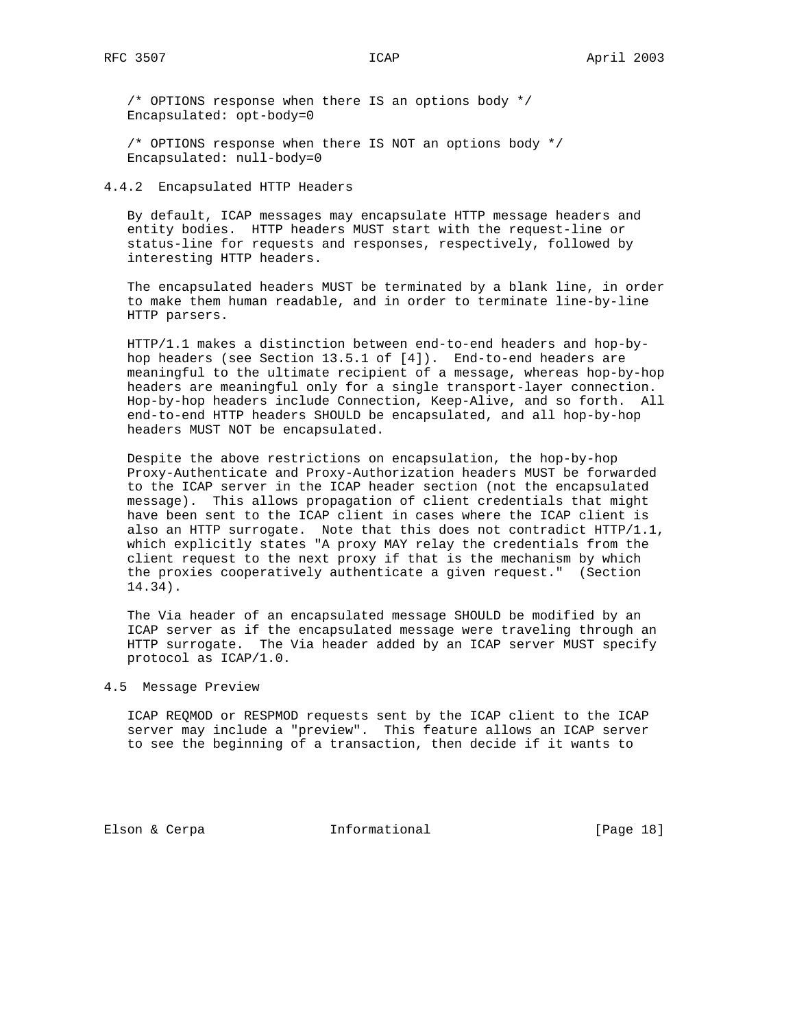/\* OPTIONS response when there IS an options body \*/ Encapsulated: opt-body=0

 /\* OPTIONS response when there IS NOT an options body \*/ Encapsulated: null-body=0

4.4.2 Encapsulated HTTP Headers

 By default, ICAP messages may encapsulate HTTP message headers and entity bodies. HTTP headers MUST start with the request-line or status-line for requests and responses, respectively, followed by interesting HTTP headers.

 The encapsulated headers MUST be terminated by a blank line, in order to make them human readable, and in order to terminate line-by-line HTTP parsers.

 HTTP/1.1 makes a distinction between end-to-end headers and hop-by hop headers (see Section 13.5.1 of [4]). End-to-end headers are meaningful to the ultimate recipient of a message, whereas hop-by-hop headers are meaningful only for a single transport-layer connection. Hop-by-hop headers include Connection, Keep-Alive, and so forth. All end-to-end HTTP headers SHOULD be encapsulated, and all hop-by-hop headers MUST NOT be encapsulated.

 Despite the above restrictions on encapsulation, the hop-by-hop Proxy-Authenticate and Proxy-Authorization headers MUST be forwarded to the ICAP server in the ICAP header section (not the encapsulated message). This allows propagation of client credentials that might have been sent to the ICAP client in cases where the ICAP client is also an HTTP surrogate. Note that this does not contradict HTTP/1.1, which explicitly states "A proxy MAY relay the credentials from the client request to the next proxy if that is the mechanism by which the proxies cooperatively authenticate a given request." (Section 14.34).

 The Via header of an encapsulated message SHOULD be modified by an ICAP server as if the encapsulated message were traveling through an HTTP surrogate. The Via header added by an ICAP server MUST specify protocol as ICAP/1.0.

4.5 Message Preview

 ICAP REQMOD or RESPMOD requests sent by the ICAP client to the ICAP server may include a "preview". This feature allows an ICAP server to see the beginning of a transaction, then decide if it wants to

Elson & Cerpa **Informational** [Page 18]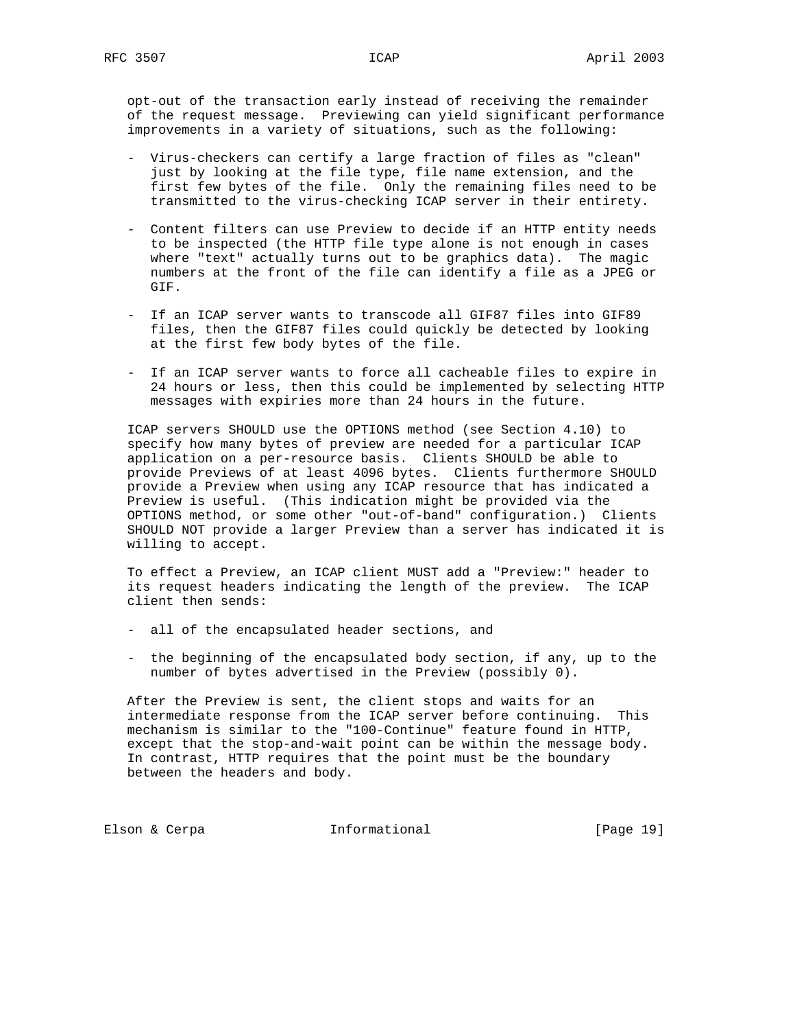opt-out of the transaction early instead of receiving the remainder of the request message. Previewing can yield significant performance improvements in a variety of situations, such as the following:

- Virus-checkers can certify a large fraction of files as "clean" just by looking at the file type, file name extension, and the first few bytes of the file. Only the remaining files need to be transmitted to the virus-checking ICAP server in their entirety.
- Content filters can use Preview to decide if an HTTP entity needs to be inspected (the HTTP file type alone is not enough in cases where "text" actually turns out to be graphics data). The magic numbers at the front of the file can identify a file as a JPEG or GIF.
- If an ICAP server wants to transcode all GIF87 files into GIF89 files, then the GIF87 files could quickly be detected by looking at the first few body bytes of the file.
- If an ICAP server wants to force all cacheable files to expire in 24 hours or less, then this could be implemented by selecting HTTP messages with expiries more than 24 hours in the future.

 ICAP servers SHOULD use the OPTIONS method (see Section 4.10) to specify how many bytes of preview are needed for a particular ICAP application on a per-resource basis. Clients SHOULD be able to provide Previews of at least 4096 bytes. Clients furthermore SHOULD provide a Preview when using any ICAP resource that has indicated a Preview is useful. (This indication might be provided via the OPTIONS method, or some other "out-of-band" configuration.) Clients SHOULD NOT provide a larger Preview than a server has indicated it is willing to accept.

 To effect a Preview, an ICAP client MUST add a "Preview:" header to its request headers indicating the length of the preview. The ICAP client then sends:

- all of the encapsulated header sections, and
- the beginning of the encapsulated body section, if any, up to the number of bytes advertised in the Preview (possibly 0).

 After the Preview is sent, the client stops and waits for an intermediate response from the ICAP server before continuing. This mechanism is similar to the "100-Continue" feature found in HTTP, except that the stop-and-wait point can be within the message body. In contrast, HTTP requires that the point must be the boundary between the headers and body.

Elson & Cerpa **Informational** [Page 19]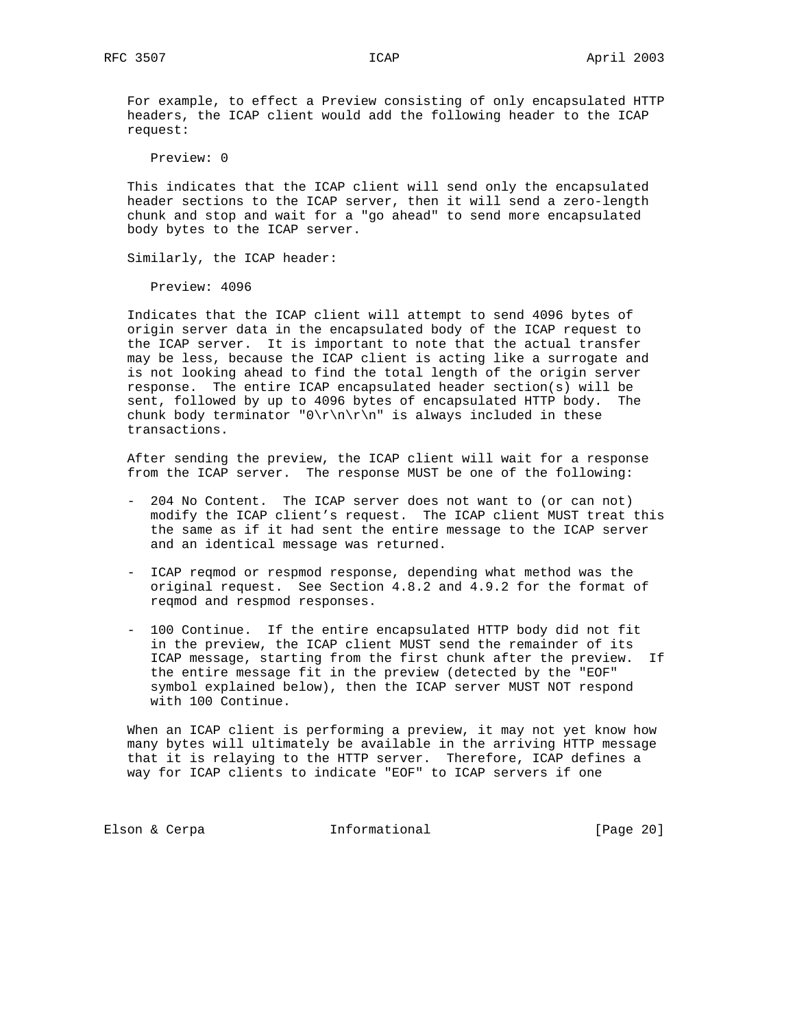For example, to effect a Preview consisting of only encapsulated HTTP headers, the ICAP client would add the following header to the ICAP request:

Preview: 0

 This indicates that the ICAP client will send only the encapsulated header sections to the ICAP server, then it will send a zero-length chunk and stop and wait for a "go ahead" to send more encapsulated body bytes to the ICAP server.

Similarly, the ICAP header:

Preview: 4096

 Indicates that the ICAP client will attempt to send 4096 bytes of origin server data in the encapsulated body of the ICAP request to the ICAP server. It is important to note that the actual transfer may be less, because the ICAP client is acting like a surrogate and is not looking ahead to find the total length of the origin server response. The entire ICAP encapsulated header section(s) will be sent, followed by up to 4096 bytes of encapsulated HTTP body. The chunk body terminator " $0\r\nu\n$ " is always included in these transactions.

 After sending the preview, the ICAP client will wait for a response from the ICAP server. The response MUST be one of the following:

- 204 No Content. The ICAP server does not want to (or can not) modify the ICAP client's request. The ICAP client MUST treat this the same as if it had sent the entire message to the ICAP server and an identical message was returned.
- ICAP reqmod or respmod response, depending what method was the original request. See Section 4.8.2 and 4.9.2 for the format of reqmod and respmod responses.
- 100 Continue. If the entire encapsulated HTTP body did not fit in the preview, the ICAP client MUST send the remainder of its ICAP message, starting from the first chunk after the preview. If the entire message fit in the preview (detected by the "EOF" symbol explained below), then the ICAP server MUST NOT respond with 100 Continue.

 When an ICAP client is performing a preview, it may not yet know how many bytes will ultimately be available in the arriving HTTP message that it is relaying to the HTTP server. Therefore, ICAP defines a way for ICAP clients to indicate "EOF" to ICAP servers if one

Elson & Cerpa **Informational** [Page 20]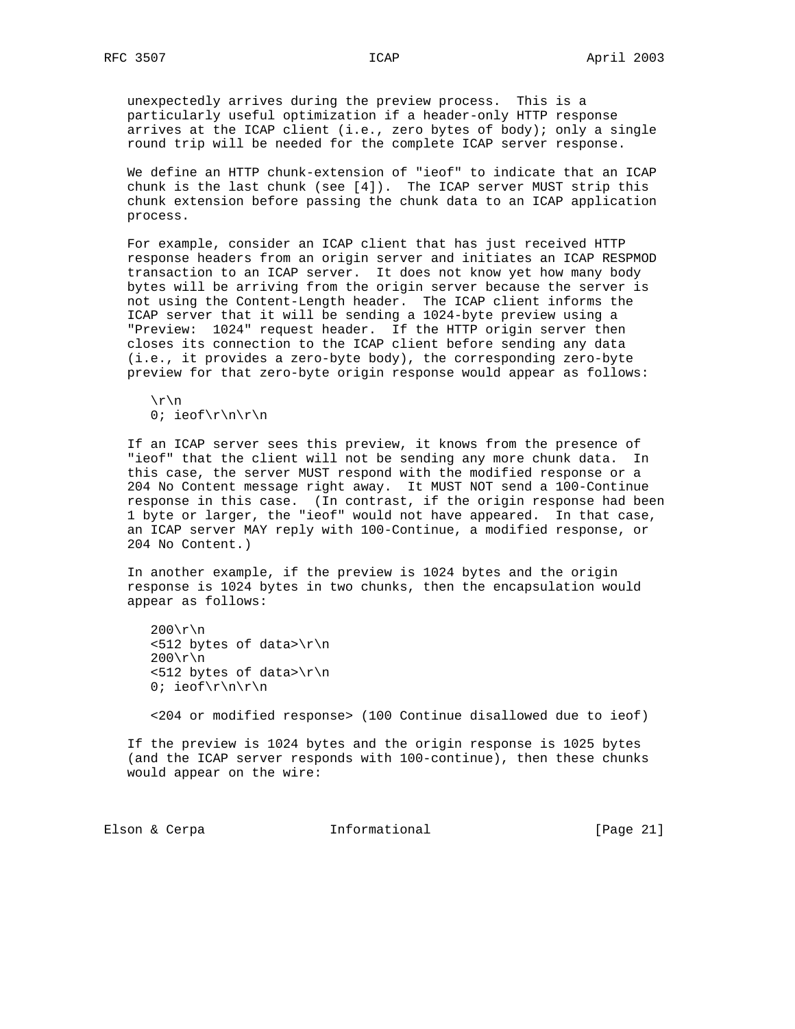unexpectedly arrives during the preview process. This is a particularly useful optimization if a header-only HTTP response arrives at the ICAP client (i.e., zero bytes of body); only a single round trip will be needed for the complete ICAP server response.

 We define an HTTP chunk-extension of "ieof" to indicate that an ICAP chunk is the last chunk (see [4]). The ICAP server MUST strip this chunk extension before passing the chunk data to an ICAP application process.

 For example, consider an ICAP client that has just received HTTP response headers from an origin server and initiates an ICAP RESPMOD transaction to an ICAP server. It does not know yet how many body bytes will be arriving from the origin server because the server is not using the Content-Length header. The ICAP client informs the ICAP server that it will be sending a 1024-byte preview using a "Preview: 1024" request header. If the HTTP origin server then closes its connection to the ICAP client before sending any data (i.e., it provides a zero-byte body), the corresponding zero-byte preview for that zero-byte origin response would appear as follows:

 $\r \n\ln$ 0; ieof\r\n\r\n

 If an ICAP server sees this preview, it knows from the presence of "ieof" that the client will not be sending any more chunk data. In this case, the server MUST respond with the modified response or a 204 No Content message right away. It MUST NOT send a 100-Continue response in this case. (In contrast, if the origin response had been 1 byte or larger, the "ieof" would not have appeared. In that case, an ICAP server MAY reply with 100-Continue, a modified response, or 204 No Content.)

 In another example, if the preview is 1024 bytes and the origin response is 1024 bytes in two chunks, then the encapsulation would appear as follows:

 $200\rm\$ r\  $\langle$ 512 bytes of data>\r\n  $200\$ r\ <512 bytes of data>\r\n 0; ieof $\r\n\r\n$ 

<204 or modified response> (100 Continue disallowed due to ieof)

 If the preview is 1024 bytes and the origin response is 1025 bytes (and the ICAP server responds with 100-continue), then these chunks would appear on the wire:

Elson & Cerpa **Informational** [Page 21]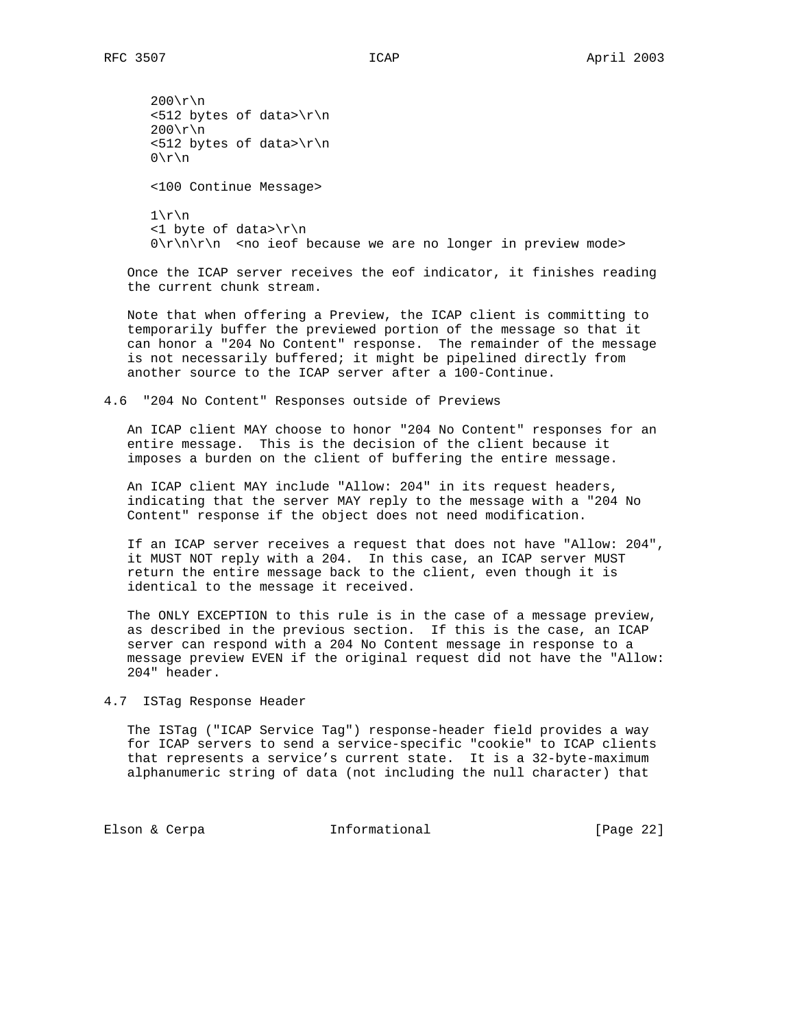$200\$ r\  $\langle$ 512 bytes of data>\r\n  $200\rm\$ r\n  $\langle$ 512 bytes of data>\r\n  $0\$  r\n <100 Continue Message>  $1\$ r\n <1 byte of data>\r\n  $0\r\ln\r\ln$  <no ieof because we are no longer in preview mode>

 Once the ICAP server receives the eof indicator, it finishes reading the current chunk stream.

 Note that when offering a Preview, the ICAP client is committing to temporarily buffer the previewed portion of the message so that it can honor a "204 No Content" response. The remainder of the message is not necessarily buffered; it might be pipelined directly from another source to the ICAP server after a 100-Continue.

4.6 "204 No Content" Responses outside of Previews

 An ICAP client MAY choose to honor "204 No Content" responses for an entire message. This is the decision of the client because it imposes a burden on the client of buffering the entire message.

 An ICAP client MAY include "Allow: 204" in its request headers, indicating that the server MAY reply to the message with a "204 No Content" response if the object does not need modification.

 If an ICAP server receives a request that does not have "Allow: 204", it MUST NOT reply with a 204. In this case, an ICAP server MUST return the entire message back to the client, even though it is identical to the message it received.

 The ONLY EXCEPTION to this rule is in the case of a message preview, as described in the previous section. If this is the case, an ICAP server can respond with a 204 No Content message in response to a message preview EVEN if the original request did not have the "Allow: 204" header.

4.7 ISTag Response Header

 The ISTag ("ICAP Service Tag") response-header field provides a way for ICAP servers to send a service-specific "cookie" to ICAP clients that represents a service's current state. It is a 32-byte-maximum alphanumeric string of data (not including the null character) that

Elson & Cerpa **Informational** [Page 22]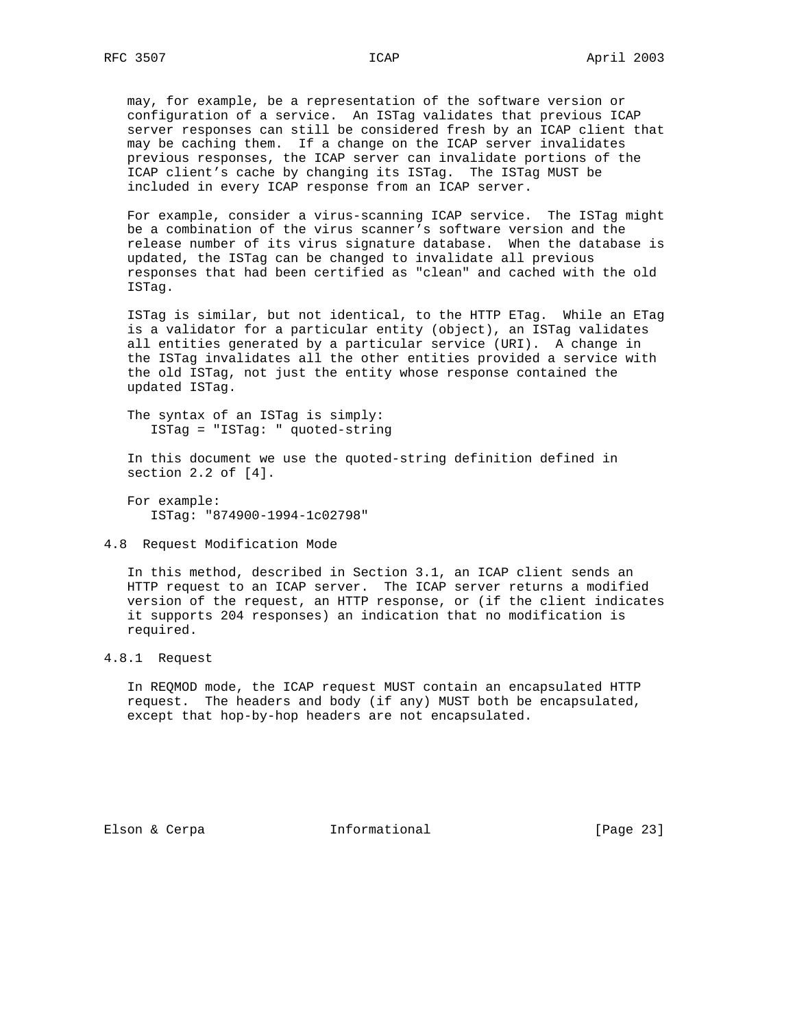may, for example, be a representation of the software version or configuration of a service. An ISTag validates that previous ICAP server responses can still be considered fresh by an ICAP client that may be caching them. If a change on the ICAP server invalidates previous responses, the ICAP server can invalidate portions of the ICAP client's cache by changing its ISTag. The ISTag MUST be included in every ICAP response from an ICAP server.

 For example, consider a virus-scanning ICAP service. The ISTag might be a combination of the virus scanner's software version and the release number of its virus signature database. When the database is updated, the ISTag can be changed to invalidate all previous responses that had been certified as "clean" and cached with the old ISTag.

 ISTag is similar, but not identical, to the HTTP ETag. While an ETag is a validator for a particular entity (object), an ISTag validates all entities generated by a particular service (URI). A change in the ISTag invalidates all the other entities provided a service with the old ISTag, not just the entity whose response contained the updated ISTag.

 The syntax of an ISTag is simply: ISTag = "ISTag: " quoted-string

 In this document we use the quoted-string definition defined in section 2.2 of [4].

 For example: ISTag: "874900-1994-1c02798"

4.8 Request Modification Mode

 In this method, described in Section 3.1, an ICAP client sends an HTTP request to an ICAP server. The ICAP server returns a modified version of the request, an HTTP response, or (if the client indicates it supports 204 responses) an indication that no modification is required.

## 4.8.1 Request

 In REQMOD mode, the ICAP request MUST contain an encapsulated HTTP request. The headers and body (if any) MUST both be encapsulated, except that hop-by-hop headers are not encapsulated.

Elson & Cerpa **Informational** [Page 23]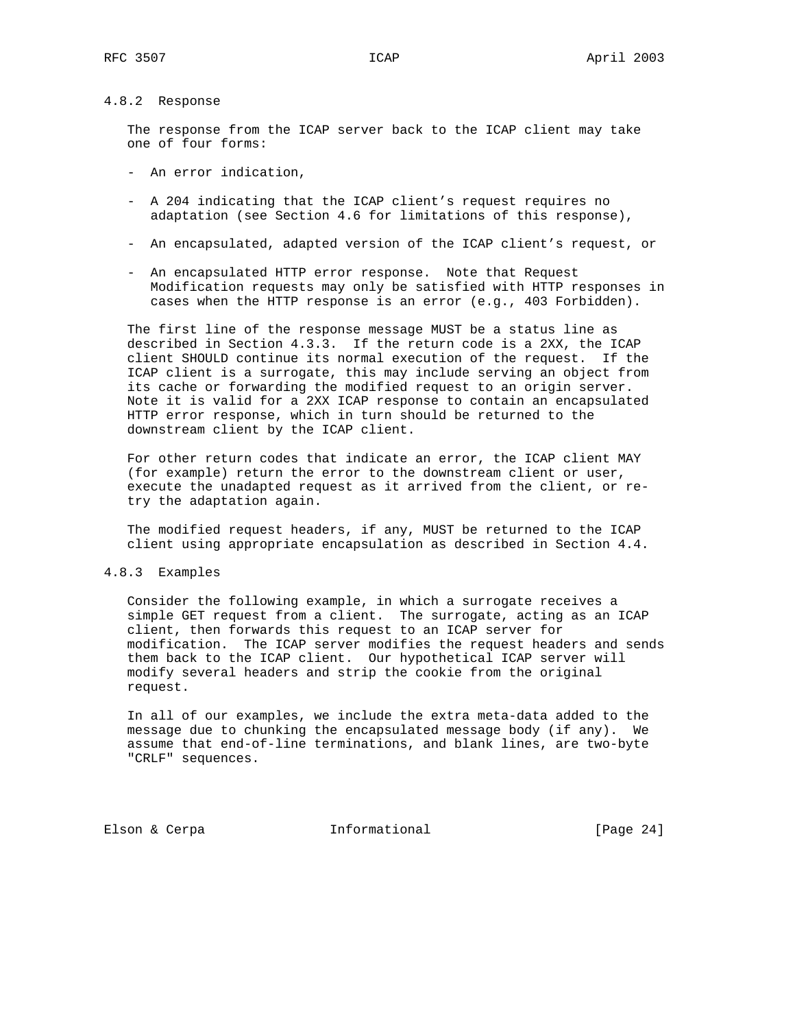# 4.8.2 Response

 The response from the ICAP server back to the ICAP client may take one of four forms:

- An error indication,
- A 204 indicating that the ICAP client's request requires no adaptation (see Section 4.6 for limitations of this response),
- An encapsulated, adapted version of the ICAP client's request, or
- An encapsulated HTTP error response. Note that Request Modification requests may only be satisfied with HTTP responses in cases when the HTTP response is an error (e.g., 403 Forbidden).

 The first line of the response message MUST be a status line as described in Section 4.3.3. If the return code is a 2XX, the ICAP client SHOULD continue its normal execution of the request. If the ICAP client is a surrogate, this may include serving an object from its cache or forwarding the modified request to an origin server. Note it is valid for a 2XX ICAP response to contain an encapsulated HTTP error response, which in turn should be returned to the downstream client by the ICAP client.

 For other return codes that indicate an error, the ICAP client MAY (for example) return the error to the downstream client or user, execute the unadapted request as it arrived from the client, or re try the adaptation again.

 The modified request headers, if any, MUST be returned to the ICAP client using appropriate encapsulation as described in Section 4.4.

#### 4.8.3 Examples

 Consider the following example, in which a surrogate receives a simple GET request from a client. The surrogate, acting as an ICAP client, then forwards this request to an ICAP server for modification. The ICAP server modifies the request headers and sends them back to the ICAP client. Our hypothetical ICAP server will modify several headers and strip the cookie from the original request.

 In all of our examples, we include the extra meta-data added to the message due to chunking the encapsulated message body (if any). We assume that end-of-line terminations, and blank lines, are two-byte "CRLF" sequences.

Elson & Cerpa **Informational** [Page 24]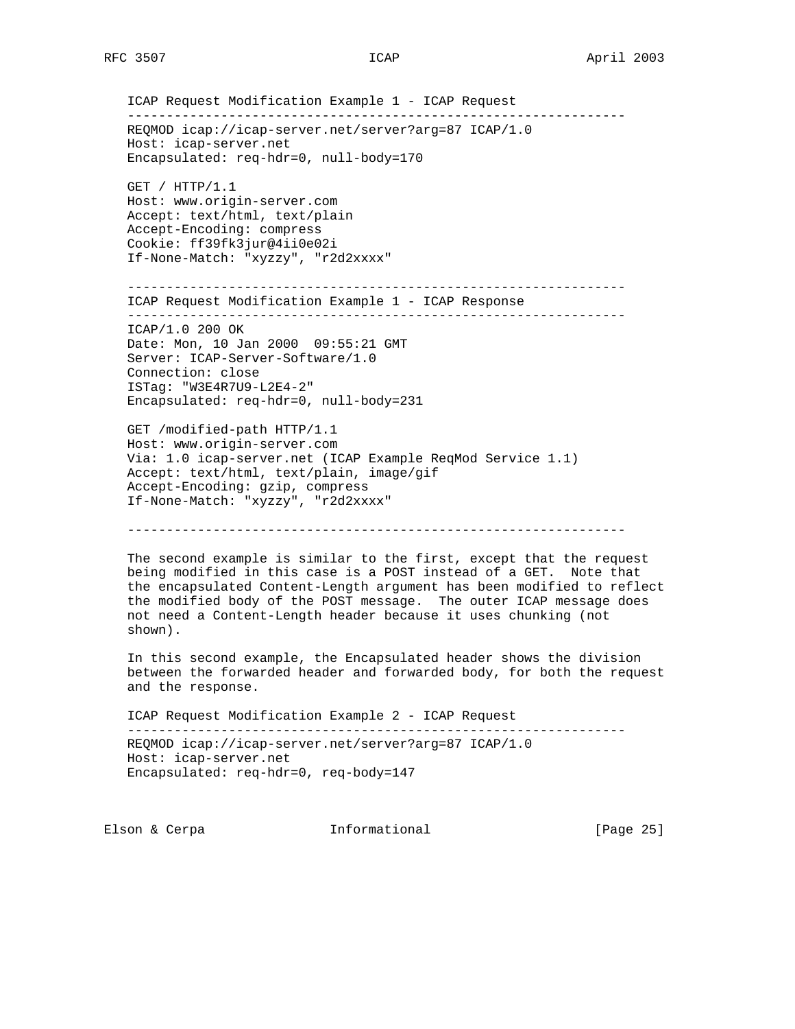ICAP Request Modification Example 1 - ICAP Request ---------------------------------------------------------------- REQMOD icap://icap-server.net/server?arg=87 ICAP/1.0 Host: icap-server.net Encapsulated: req-hdr=0, null-body=170 GET / HTTP/1.1 Host: www.origin-server.com Accept: text/html, text/plain Accept-Encoding: compress Cookie: ff39fk3jur@4ii0e02i If-None-Match: "xyzzy", "r2d2xxxx" ---------------------------------------------------------------- ICAP Request Modification Example 1 - ICAP Response ---------------------------------------------------------------- ICAP/1.0 200 OK Date: Mon, 10 Jan 2000 09:55:21 GMT Server: ICAP-Server-Software/1.0 Connection: close ISTag: "W3E4R7U9-L2E4-2" Encapsulated: req-hdr=0, null-body=231 GET /modified-path HTTP/1.1 Host: www.origin-server.com Via: 1.0 icap-server.net (ICAP Example ReqMod Service 1.1) Accept: text/html, text/plain, image/gif Accept-Encoding: gzip, compress If-None-Match: "xyzzy", "r2d2xxxx"

----------------------------------------------------------------

 The second example is similar to the first, except that the request being modified in this case is a POST instead of a GET. Note that the encapsulated Content-Length argument has been modified to reflect the modified body of the POST message. The outer ICAP message does not need a Content-Length header because it uses chunking (not shown).

 In this second example, the Encapsulated header shows the division between the forwarded header and forwarded body, for both the request and the response.

 ICAP Request Modification Example 2 - ICAP Request ---------------------------------------------------------------- REQMOD icap://icap-server.net/server?arg=87 ICAP/1.0 Host: icap-server.net Encapsulated: req-hdr=0, req-body=147

Elson & Cerpa **Informational** [Page 25]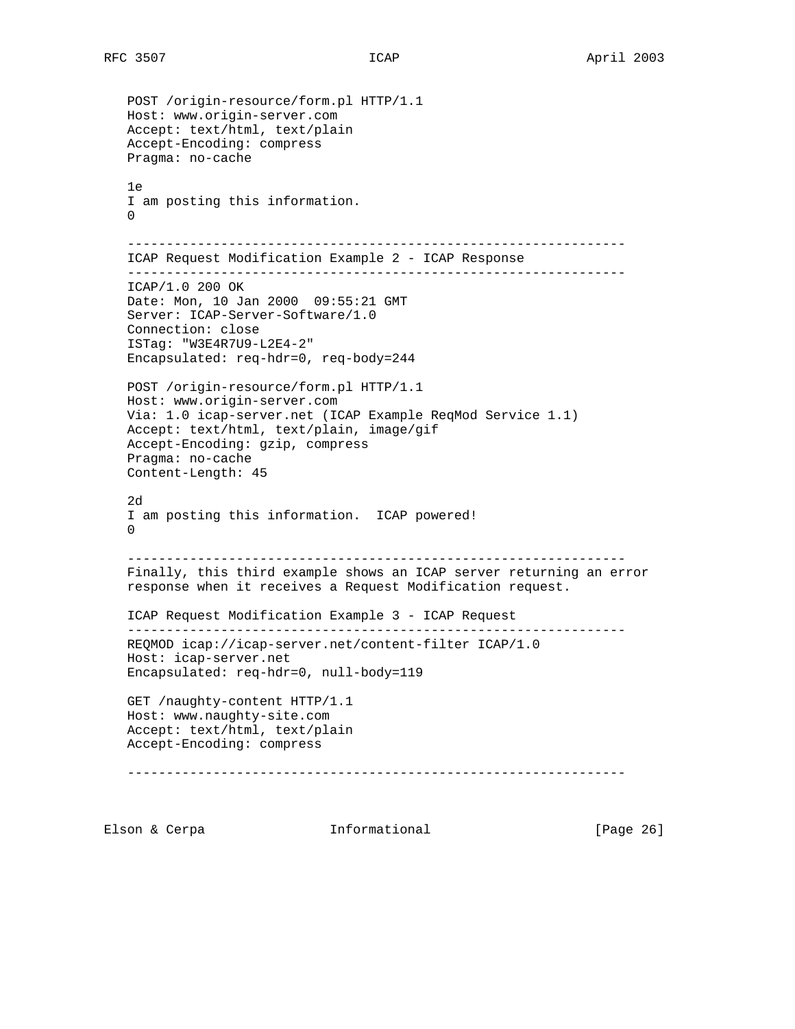```
 POST /origin-resource/form.pl HTTP/1.1
 Host: www.origin-server.com
 Accept: text/html, text/plain
 Accept-Encoding: compress
 Pragma: no-cache
 1e
 I am posting this information.
\Omega ----------------------------------------------------------------
 ICAP Request Modification Example 2 - ICAP Response
 ----------------------------------------------------------------
 ICAP/1.0 200 OK
 Date: Mon, 10 Jan 2000 09:55:21 GMT
 Server: ICAP-Server-Software/1.0
 Connection: close
 ISTag: "W3E4R7U9-L2E4-2"
 Encapsulated: req-hdr=0, req-body=244
 POST /origin-resource/form.pl HTTP/1.1
 Host: www.origin-server.com
 Via: 1.0 icap-server.net (ICAP Example ReqMod Service 1.1)
 Accept: text/html, text/plain, image/gif
 Accept-Encoding: gzip, compress
 Pragma: no-cache
 Content-Length: 45
 2d
 I am posting this information. ICAP powered!
\Omega ----------------------------------------------------------------
 Finally, this third example shows an ICAP server returning an error
 response when it receives a Request Modification request.
 ICAP Request Modification Example 3 - ICAP Request
 ----------------------------------------------------------------
 REQMOD icap://icap-server.net/content-filter ICAP/1.0
 Host: icap-server.net
 Encapsulated: req-hdr=0, null-body=119
 GET /naughty-content HTTP/1.1
 Host: www.naughty-site.com
 Accept: text/html, text/plain
 Accept-Encoding: compress
 ----------------------------------------------------------------
```
Elson & Cerpa **Informational** [Page 26]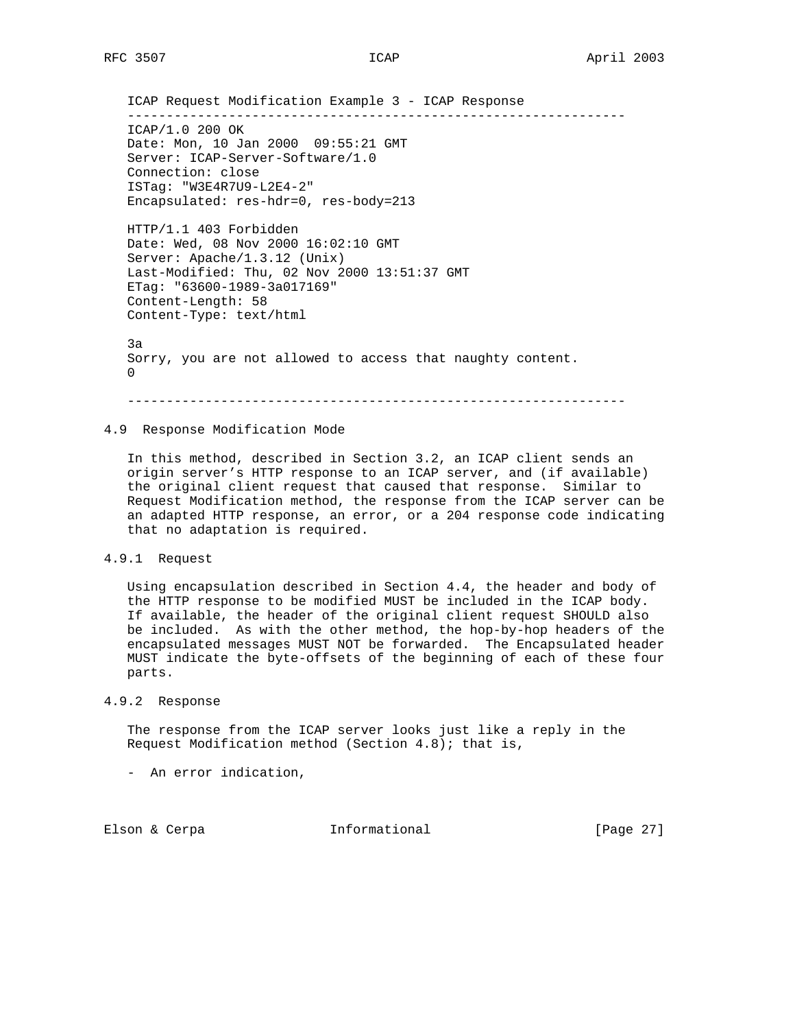ICAP Request Modification Example 3 - ICAP Response ---------------------------------------------------------------- ICAP/1.0 200 OK Date: Mon, 10 Jan 2000 09:55:21 GMT Server: ICAP-Server-Software/1.0 Connection: close ISTag: "W3E4R7U9-L2E4-2" Encapsulated: res-hdr=0, res-body=213 HTTP/1.1 403 Forbidden Date: Wed, 08 Nov 2000 16:02:10 GMT Server: Apache/1.3.12 (Unix) Last-Modified: Thu, 02 Nov 2000 13:51:37 GMT

 Content-Length: 58 Content-Type: text/html 3a Sorry, you are not allowed to access that naughty content.  $\overline{\phantom{0}}$ 

----------------------------------------------------------------

## 4.9 Response Modification Mode

ETag: "63600-1989-3a017169"

 In this method, described in Section 3.2, an ICAP client sends an origin server's HTTP response to an ICAP server, and (if available) the original client request that caused that response. Similar to Request Modification method, the response from the ICAP server can be an adapted HTTP response, an error, or a 204 response code indicating that no adaptation is required.

4.9.1 Request

 Using encapsulation described in Section 4.4, the header and body of the HTTP response to be modified MUST be included in the ICAP body. If available, the header of the original client request SHOULD also be included. As with the other method, the hop-by-hop headers of the encapsulated messages MUST NOT be forwarded. The Encapsulated header MUST indicate the byte-offsets of the beginning of each of these four parts.

4.9.2 Response

 The response from the ICAP server looks just like a reply in the Request Modification method (Section 4.8); that is,

- An error indication,

Elson & Cerpa  $I_n$  Informational [Page 27]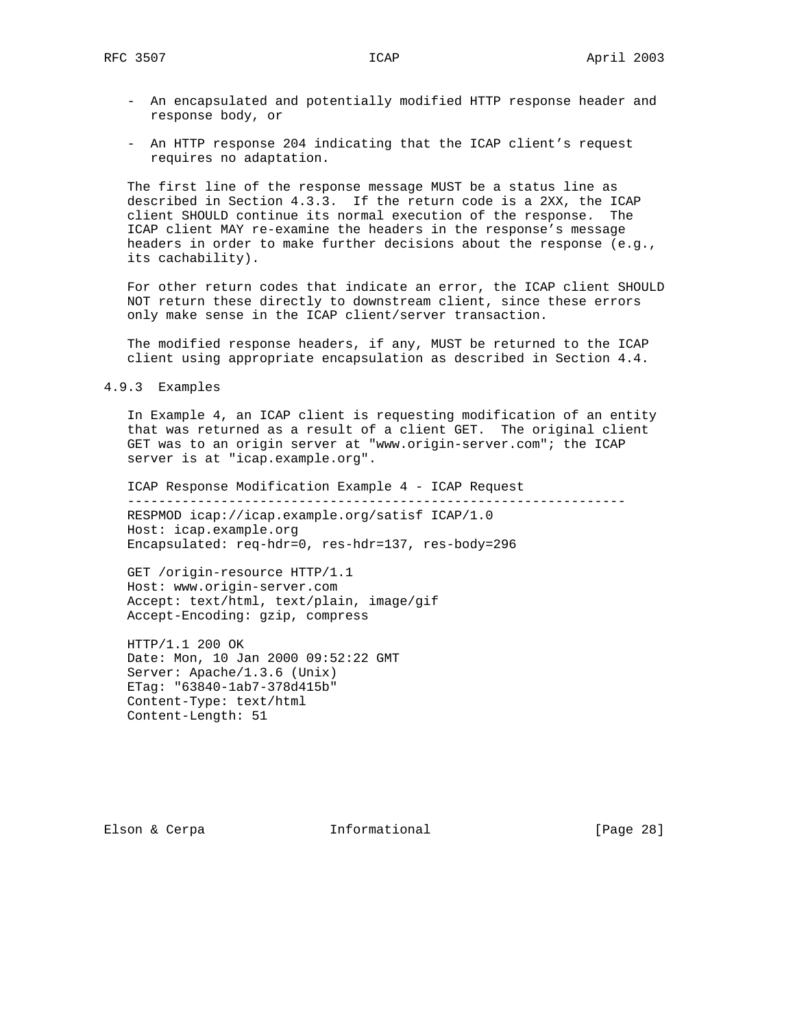- An encapsulated and potentially modified HTTP response header and response body, or
- An HTTP response 204 indicating that the ICAP client's request requires no adaptation.

 The first line of the response message MUST be a status line as described in Section 4.3.3. If the return code is a 2XX, the ICAP client SHOULD continue its normal execution of the response. The ICAP client MAY re-examine the headers in the response's message headers in order to make further decisions about the response (e.g., its cachability).

 For other return codes that indicate an error, the ICAP client SHOULD NOT return these directly to downstream client, since these errors only make sense in the ICAP client/server transaction.

 The modified response headers, if any, MUST be returned to the ICAP client using appropriate encapsulation as described in Section 4.4.

4.9.3 Examples

 In Example 4, an ICAP client is requesting modification of an entity that was returned as a result of a client GET. The original client GET was to an origin server at "www.origin-server.com"; the ICAP server is at "icap.example.org".

 ICAP Response Modification Example 4 - ICAP Request ---------------------------------------------------------------- RESPMOD icap://icap.example.org/satisf ICAP/1.0 Host: icap.example.org Encapsulated: req-hdr=0, res-hdr=137, res-body=296

 GET /origin-resource HTTP/1.1 Host: www.origin-server.com Accept: text/html, text/plain, image/gif Accept-Encoding: gzip, compress

 HTTP/1.1 200 OK Date: Mon, 10 Jan 2000 09:52:22 GMT Server: Apache/1.3.6 (Unix) ETag: "63840-1ab7-378d415b" Content-Type: text/html Content-Length: 51

Elson & Cerpa **Informational** [Page 28]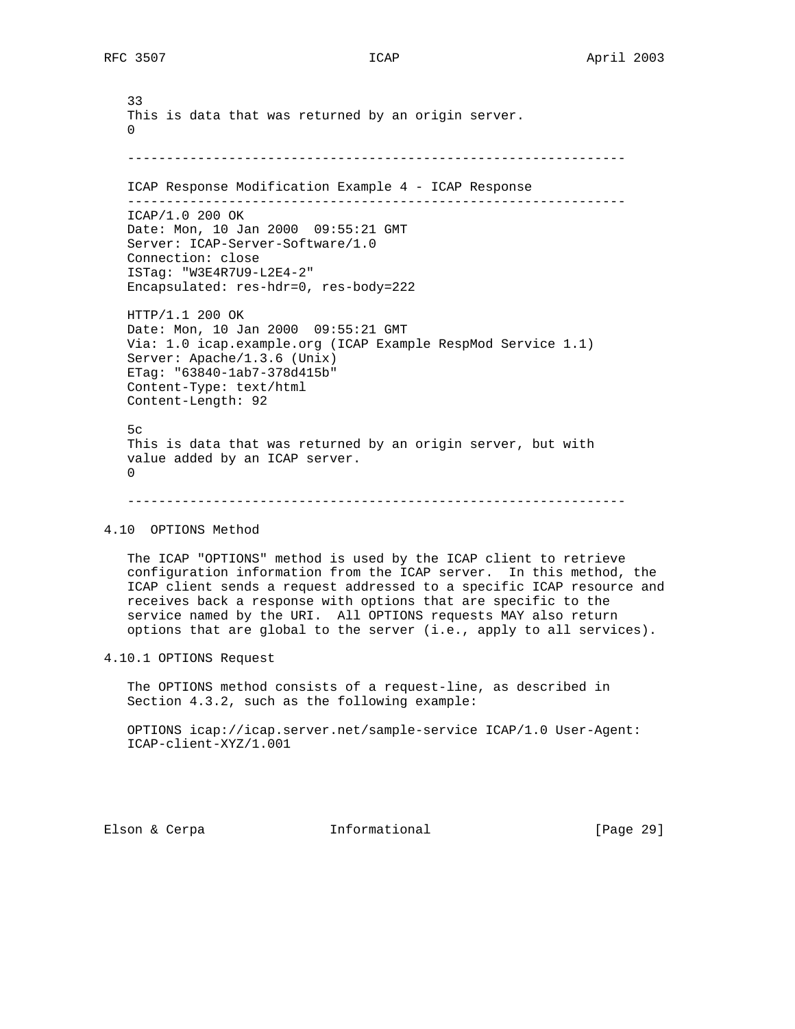33 This is data that was returned by an origin server.  $\overline{\phantom{0}}$  ---------------------------------------------------------------- ICAP Response Modification Example 4 - ICAP Response ---------------------------------------------------------------- ICAP/1.0 200 OK Date: Mon, 10 Jan 2000 09:55:21 GMT Server: ICAP-Server-Software/1.0 Connection: close ISTag: "W3E4R7U9-L2E4-2" Encapsulated: res-hdr=0, res-body=222 HTTP/1.1 200 OK Date: Mon, 10 Jan 2000 09:55:21 GMT Via: 1.0 icap.example.org (ICAP Example RespMod Service 1.1) Server: Apache/1.3.6 (Unix) ETag: "63840-1ab7-378d415b" Content-Type: text/html Content-Length: 92  $5c$  This is data that was returned by an origin server, but with value added by an ICAP server. 0

#### ----------------------------------------------------------------

## 4.10 OPTIONS Method

 The ICAP "OPTIONS" method is used by the ICAP client to retrieve configuration information from the ICAP server. In this method, the ICAP client sends a request addressed to a specific ICAP resource and receives back a response with options that are specific to the service named by the URI. All OPTIONS requests MAY also return options that are global to the server (i.e., apply to all services).

## 4.10.1 OPTIONS Request

 The OPTIONS method consists of a request-line, as described in Section 4.3.2, such as the following example:

 OPTIONS icap://icap.server.net/sample-service ICAP/1.0 User-Agent: ICAP-client-XYZ/1.001

Elson & Cerpa **Informational** [Page 29]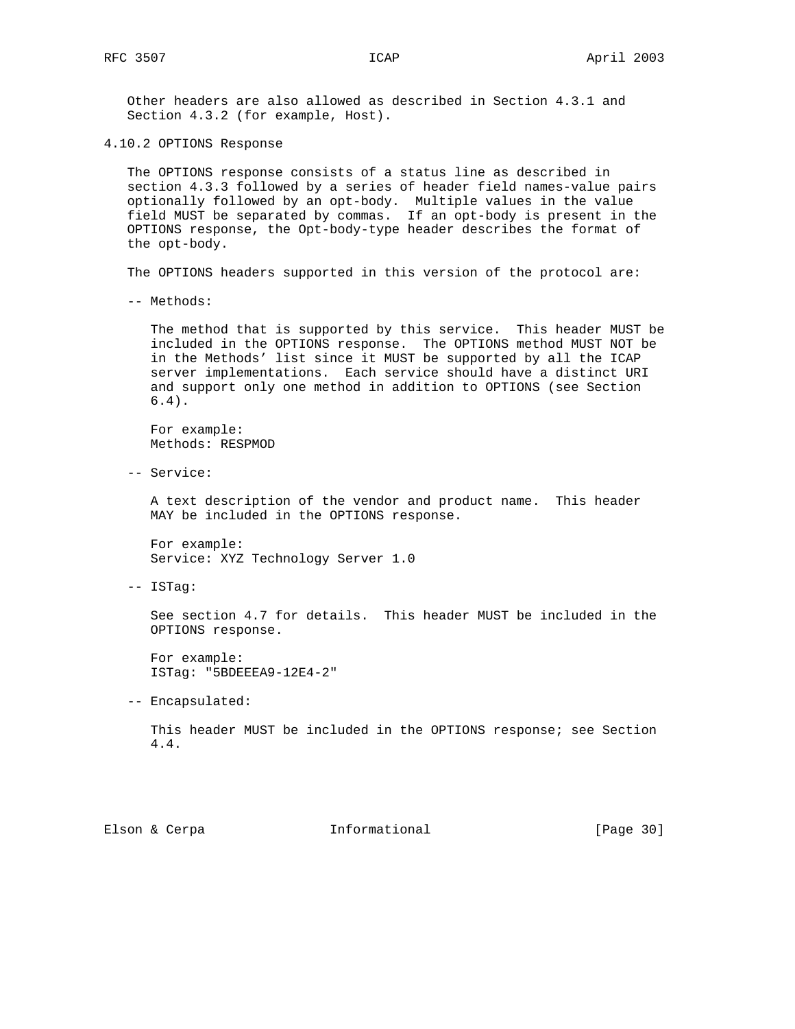Other headers are also allowed as described in Section 4.3.1 and Section 4.3.2 (for example, Host).

4.10.2 OPTIONS Response

 The OPTIONS response consists of a status line as described in section 4.3.3 followed by a series of header field names-value pairs optionally followed by an opt-body. Multiple values in the value field MUST be separated by commas. If an opt-body is present in the OPTIONS response, the Opt-body-type header describes the format of the opt-body.

The OPTIONS headers supported in this version of the protocol are:

-- Methods:

 The method that is supported by this service. This header MUST be included in the OPTIONS response. The OPTIONS method MUST NOT be in the Methods' list since it MUST be supported by all the ICAP server implementations. Each service should have a distinct URI and support only one method in addition to OPTIONS (see Section 6.4).

 For example: Methods: RESPMOD

-- Service:

 A text description of the vendor and product name. This header MAY be included in the OPTIONS response.

 For example: Service: XYZ Technology Server 1.0

-- ISTag:

 See section 4.7 for details. This header MUST be included in the OPTIONS response.

 For example: ISTag: "5BDEEEA9-12E4-2"

-- Encapsulated:

 This header MUST be included in the OPTIONS response; see Section 4.4.

Elson & Cerpa **Informational** [Page 30]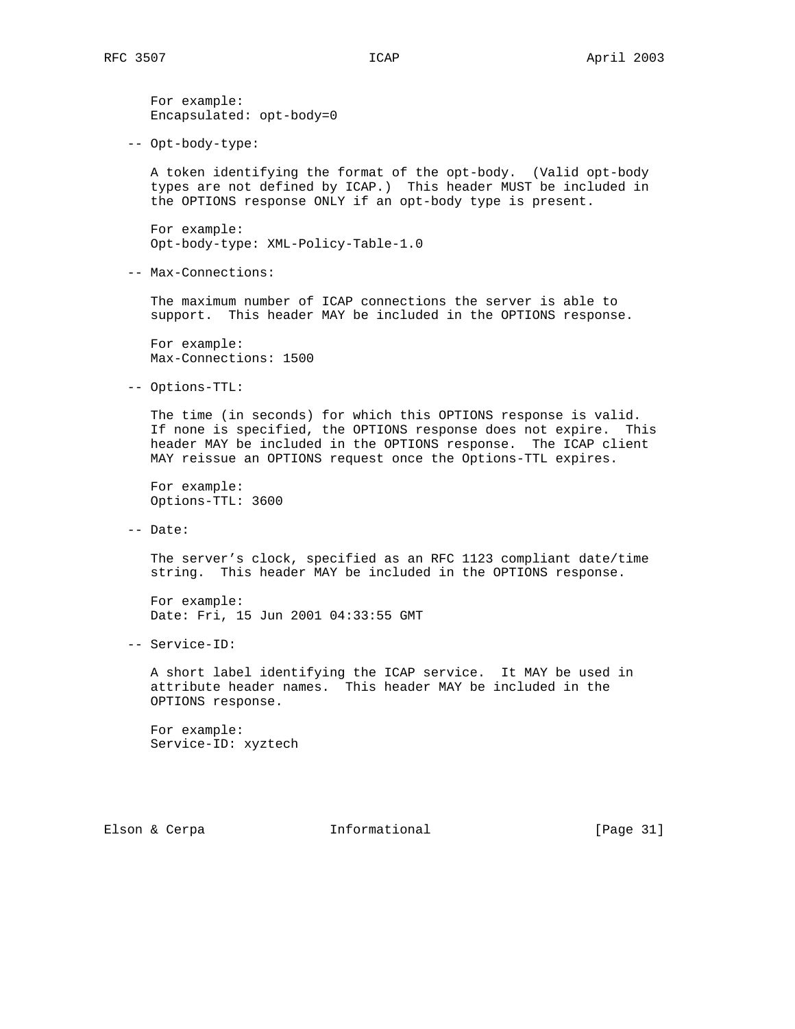For example: Encapsulated: opt-body=0

-- Opt-body-type:

 A token identifying the format of the opt-body. (Valid opt-body types are not defined by ICAP.) This header MUST be included in the OPTIONS response ONLY if an opt-body type is present.

 For example: Opt-body-type: XML-Policy-Table-1.0

-- Max-Connections:

 The maximum number of ICAP connections the server is able to support. This header MAY be included in the OPTIONS response.

 For example: Max-Connections: 1500

-- Options-TTL:

 The time (in seconds) for which this OPTIONS response is valid. If none is specified, the OPTIONS response does not expire. This header MAY be included in the OPTIONS response. The ICAP client MAY reissue an OPTIONS request once the Options-TTL expires.

 For example: Options-TTL: 3600

-- Date:

 The server's clock, specified as an RFC 1123 compliant date/time string. This header MAY be included in the OPTIONS response.

 For example: Date: Fri, 15 Jun 2001 04:33:55 GMT

-- Service-ID:

 A short label identifying the ICAP service. It MAY be used in attribute header names. This header MAY be included in the OPTIONS response.

 For example: Service-ID: xyztech

Elson & Cerpa **Informational** [Page 31]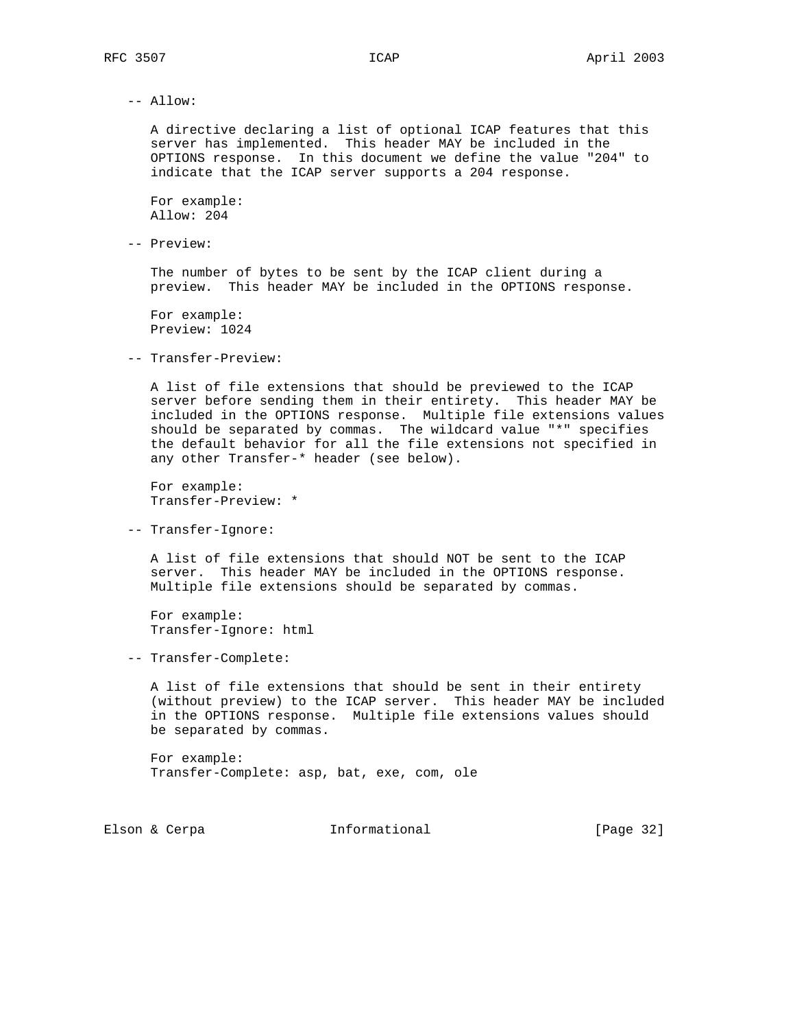-- Allow:

 A directive declaring a list of optional ICAP features that this server has implemented. This header MAY be included in the OPTIONS response. In this document we define the value "204" to indicate that the ICAP server supports a 204 response.

 For example: Allow: 204

-- Preview:

 The number of bytes to be sent by the ICAP client during a preview. This header MAY be included in the OPTIONS response.

 For example: Preview: 1024

-- Transfer-Preview:

 A list of file extensions that should be previewed to the ICAP server before sending them in their entirety. This header MAY be included in the OPTIONS response. Multiple file extensions values should be separated by commas. The wildcard value "\*" specifies the default behavior for all the file extensions not specified in any other Transfer-\* header (see below).

 For example: Transfer-Preview: \*

-- Transfer-Ignore:

 A list of file extensions that should NOT be sent to the ICAP server. This header MAY be included in the OPTIONS response. Multiple file extensions should be separated by commas.

 For example: Transfer-Ignore: html

-- Transfer-Complete:

 A list of file extensions that should be sent in their entirety (without preview) to the ICAP server. This header MAY be included in the OPTIONS response. Multiple file extensions values should be separated by commas.

 For example: Transfer-Complete: asp, bat, exe, com, ole

Elson & Cerpa **Informational** [Page 32]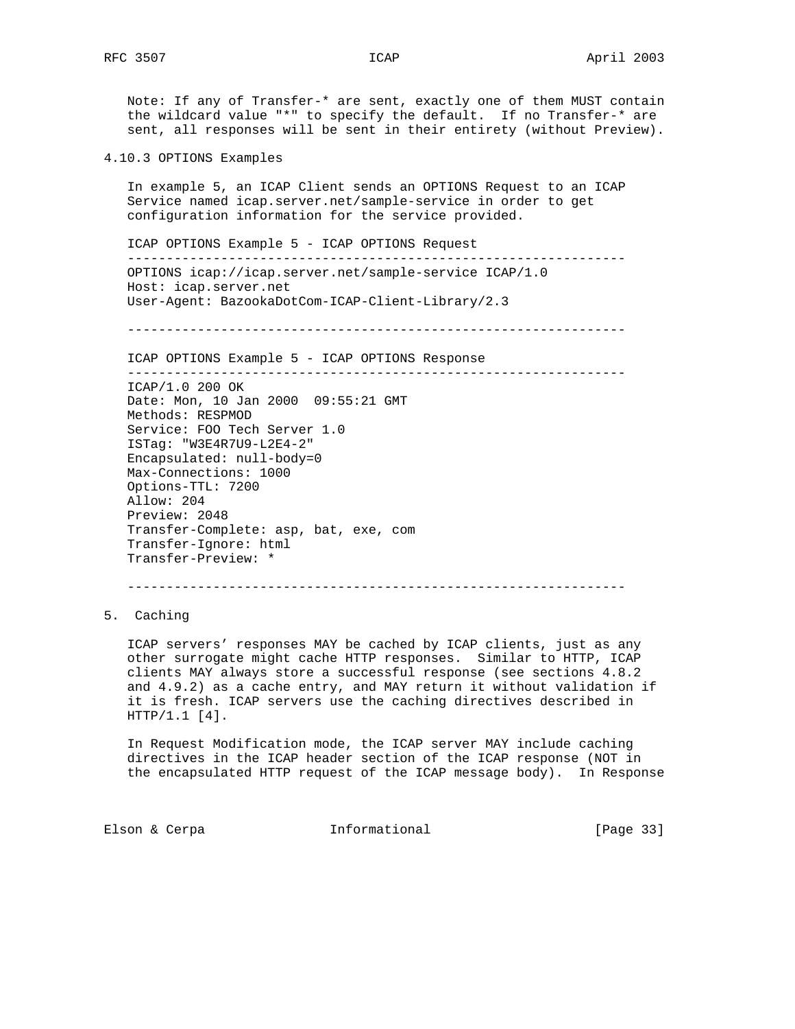Note: If any of Transfer-\* are sent, exactly one of them MUST contain the wildcard value "\*" to specify the default. If no Transfer-\* are sent, all responses will be sent in their entirety (without Preview).

4.10.3 OPTIONS Examples

 In example 5, an ICAP Client sends an OPTIONS Request to an ICAP Service named icap.server.net/sample-service in order to get configuration information for the service provided.

 ICAP OPTIONS Example 5 - ICAP OPTIONS Request ---------------------------------------------------------------- OPTIONS icap://icap.server.net/sample-service ICAP/1.0 Host: icap.server.net User-Agent: BazookaDotCom-ICAP-Client-Library/2.3

----------------------------------------------------------------

ICAP OPTIONS Example 5 - ICAP OPTIONS Response

----------------------------------------------------------------

 ICAP/1.0 200 OK Date: Mon, 10 Jan 2000 09:55:21 GMT Methods: RESPMOD Service: FOO Tech Server 1.0 ISTag: "W3E4R7U9-L2E4-2" Encapsulated: null-body=0 Max-Connections: 1000 Options-TTL: 7200 Allow: 204 Preview: 2048 Transfer-Complete: asp, bat, exe, com Transfer-Ignore: html Transfer-Preview: \*

----------------------------------------------------------------

5. Caching

 ICAP servers' responses MAY be cached by ICAP clients, just as any other surrogate might cache HTTP responses. Similar to HTTP, ICAP clients MAY always store a successful response (see sections 4.8.2 and 4.9.2) as a cache entry, and MAY return it without validation if it is fresh. ICAP servers use the caching directives described in HTTP/1.1 [4].

 In Request Modification mode, the ICAP server MAY include caching directives in the ICAP header section of the ICAP response (NOT in the encapsulated HTTP request of the ICAP message body). In Response

Elson & Cerpa **Informational** [Page 33]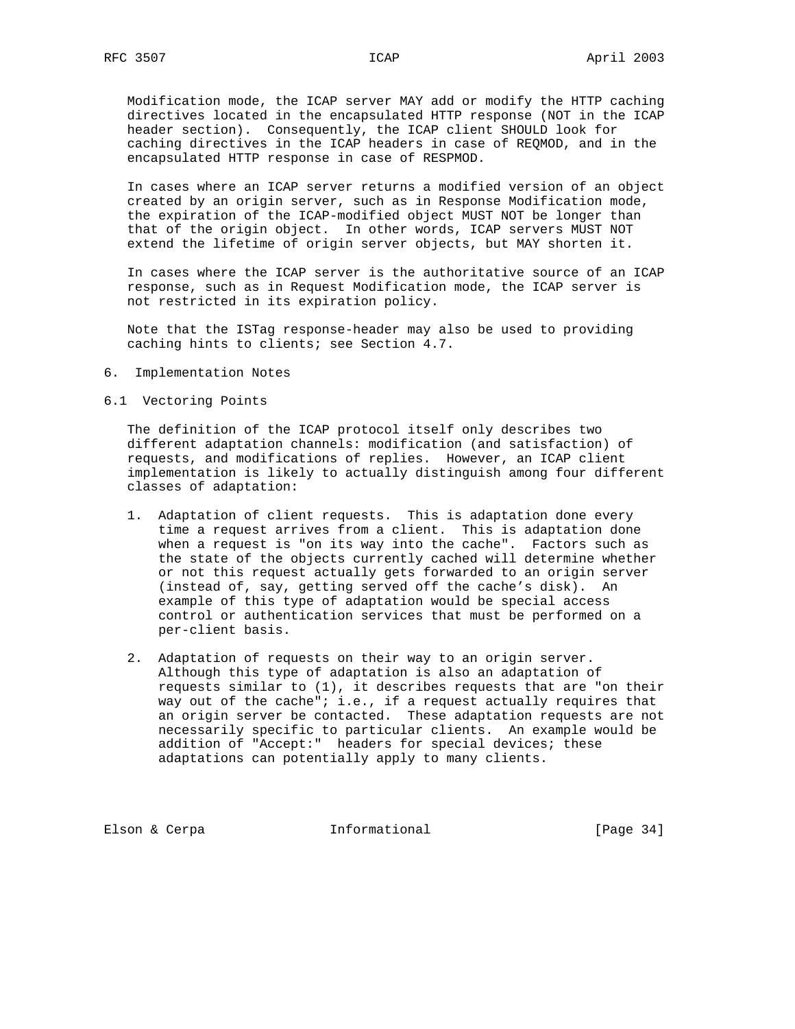Modification mode, the ICAP server MAY add or modify the HTTP caching directives located in the encapsulated HTTP response (NOT in the ICAP header section). Consequently, the ICAP client SHOULD look for caching directives in the ICAP headers in case of REQMOD, and in the encapsulated HTTP response in case of RESPMOD.

 In cases where an ICAP server returns a modified version of an object created by an origin server, such as in Response Modification mode, the expiration of the ICAP-modified object MUST NOT be longer than that of the origin object. In other words, ICAP servers MUST NOT extend the lifetime of origin server objects, but MAY shorten it.

 In cases where the ICAP server is the authoritative source of an ICAP response, such as in Request Modification mode, the ICAP server is not restricted in its expiration policy.

 Note that the ISTag response-header may also be used to providing caching hints to clients; see Section 4.7.

6. Implementation Notes

6.1 Vectoring Points

 The definition of the ICAP protocol itself only describes two different adaptation channels: modification (and satisfaction) of requests, and modifications of replies. However, an ICAP client implementation is likely to actually distinguish among four different classes of adaptation:

- 1. Adaptation of client requests. This is adaptation done every time a request arrives from a client. This is adaptation done when a request is "on its way into the cache". Factors such as the state of the objects currently cached will determine whether or not this request actually gets forwarded to an origin server (instead of, say, getting served off the cache's disk). An example of this type of adaptation would be special access control or authentication services that must be performed on a per-client basis.
- 2. Adaptation of requests on their way to an origin server. Although this type of adaptation is also an adaptation of requests similar to (1), it describes requests that are "on their way out of the cache"; i.e., if a request actually requires that an origin server be contacted. These adaptation requests are not necessarily specific to particular clients. An example would be addition of "Accept:" headers for special devices; these adaptations can potentially apply to many clients.

Elson & Cerpa **Informational** [Page 34]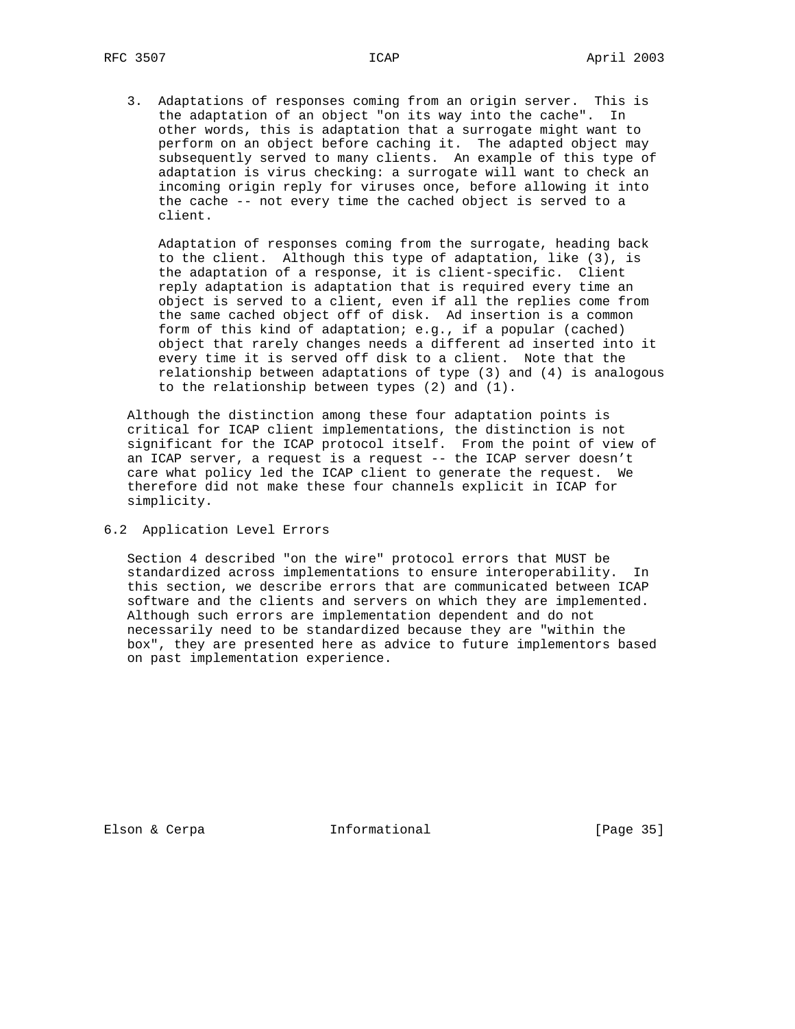3. Adaptations of responses coming from an origin server. This is the adaptation of an object "on its way into the cache". In other words, this is adaptation that a surrogate might want to perform on an object before caching it. The adapted object may subsequently served to many clients. An example of this type of adaptation is virus checking: a surrogate will want to check an incoming origin reply for viruses once, before allowing it into the cache -- not every time the cached object is served to a client.

 Adaptation of responses coming from the surrogate, heading back to the client. Although this type of adaptation, like (3), is the adaptation of a response, it is client-specific. Client reply adaptation is adaptation that is required every time an object is served to a client, even if all the replies come from the same cached object off of disk. Ad insertion is a common form of this kind of adaptation; e.g., if a popular (cached) object that rarely changes needs a different ad inserted into it every time it is served off disk to a client. Note that the relationship between adaptations of type (3) and (4) is analogous to the relationship between types (2) and (1).

 Although the distinction among these four adaptation points is critical for ICAP client implementations, the distinction is not significant for the ICAP protocol itself. From the point of view of an ICAP server, a request is a request -- the ICAP server doesn't care what policy led the ICAP client to generate the request. We therefore did not make these four channels explicit in ICAP for simplicity.

6.2 Application Level Errors

 Section 4 described "on the wire" protocol errors that MUST be standardized across implementations to ensure interoperability. In this section, we describe errors that are communicated between ICAP software and the clients and servers on which they are implemented. Although such errors are implementation dependent and do not necessarily need to be standardized because they are "within the box", they are presented here as advice to future implementors based on past implementation experience.

Elson & Cerpa **Informational** [Page 35]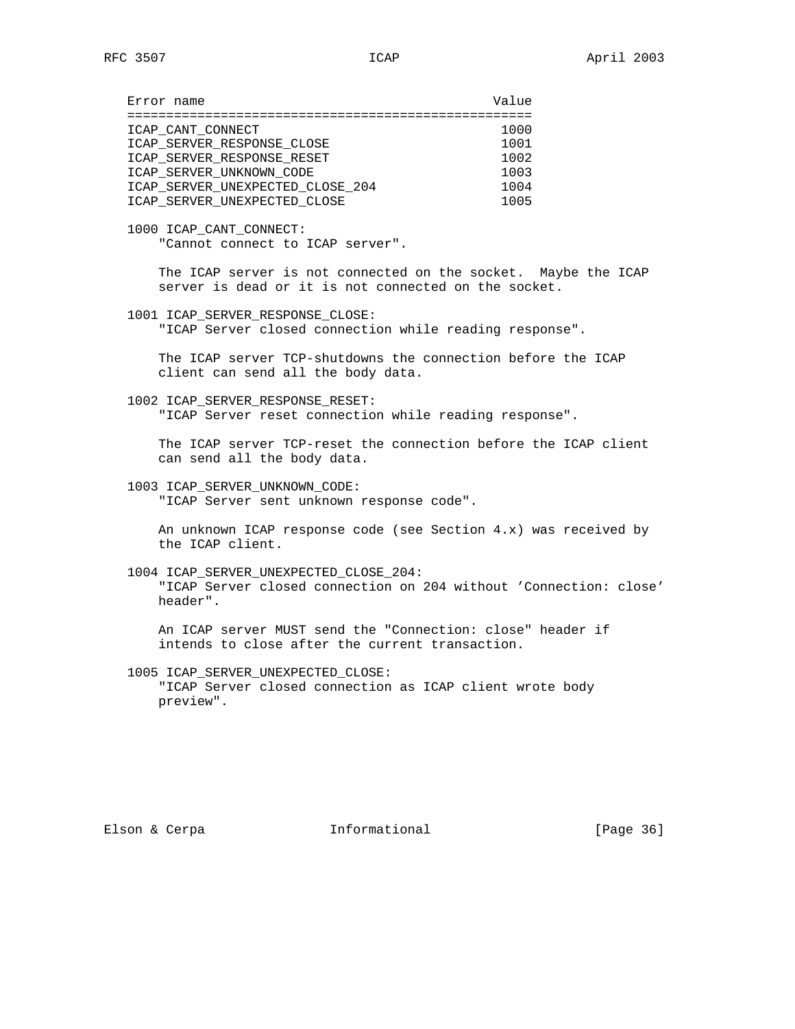| Error name                       | Value |
|----------------------------------|-------|
|                                  |       |
| ICAP CANT CONNECT                | 1000  |
| ICAP SERVER RESPONSE CLOSE       | 1001  |
| ICAP SERVER RESPONSE RESET       | 1002  |
| ICAP SERVER UNKNOWN CODE         | 1003  |
| ICAP SERVER UNEXPECTED CLOSE 204 | 1004  |
| ICAP SERVER UNEXPECTED CLOSE     | 1005  |
|                                  |       |

 1000 ICAP\_CANT\_CONNECT: "Cannot connect to ICAP server".

> The ICAP server is not connected on the socket. Maybe the ICAP server is dead or it is not connected on the socket.

1001 ICAP\_SERVER\_RESPONSE\_CLOSE:

"ICAP Server closed connection while reading response".

 The ICAP server TCP-shutdowns the connection before the ICAP client can send all the body data.

1002 ICAP\_SERVER\_RESPONSE\_RESET:

"ICAP Server reset connection while reading response".

 The ICAP server TCP-reset the connection before the ICAP client can send all the body data.

1003 ICAP\_SERVER\_UNKNOWN\_CODE:

"ICAP Server sent unknown response code".

 An unknown ICAP response code (see Section 4.x) was received by the ICAP client.

1004 ICAP\_SERVER\_UNEXPECTED\_CLOSE\_204:

 "ICAP Server closed connection on 204 without 'Connection: close' header".

 An ICAP server MUST send the "Connection: close" header if intends to close after the current transaction.

1005 ICAP\_SERVER\_UNEXPECTED\_CLOSE:

 "ICAP Server closed connection as ICAP client wrote body preview".

Elson & Cerpa **Informational** [Page 36]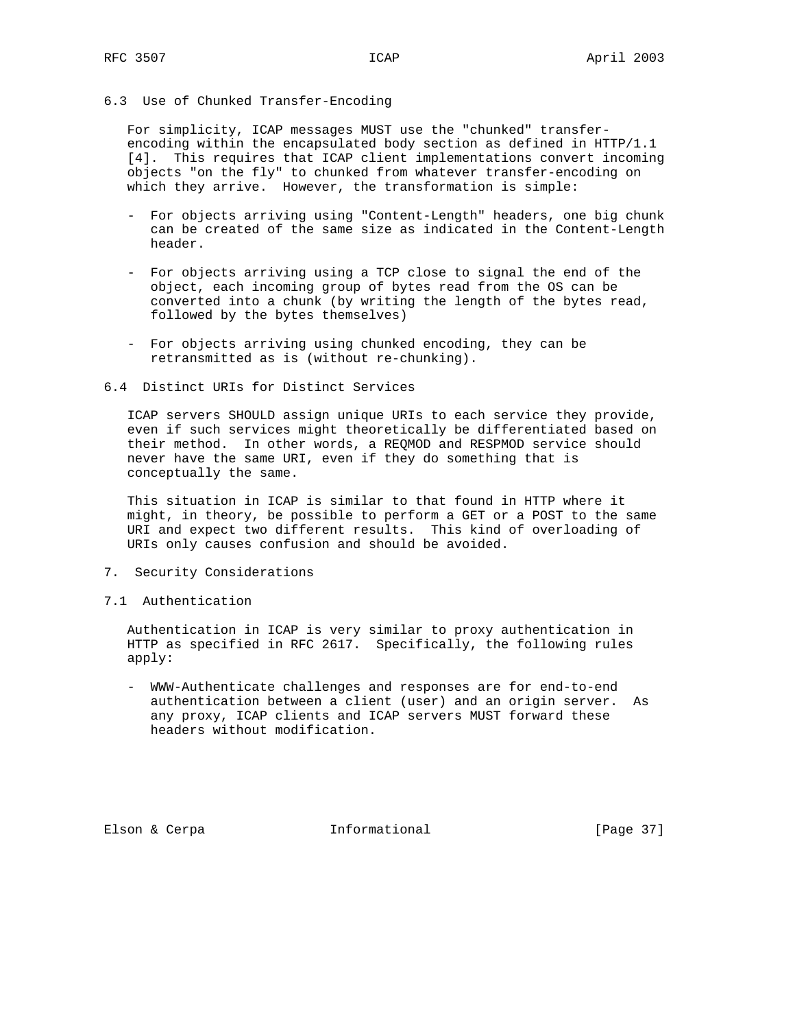# 6.3 Use of Chunked Transfer-Encoding

 For simplicity, ICAP messages MUST use the "chunked" transfer encoding within the encapsulated body section as defined in HTTP/1.1 [4]. This requires that ICAP client implementations convert incoming objects "on the fly" to chunked from whatever transfer-encoding on which they arrive. However, the transformation is simple:

- For objects arriving using "Content-Length" headers, one big chunk can be created of the same size as indicated in the Content-Length header.
- For objects arriving using a TCP close to signal the end of the object, each incoming group of bytes read from the OS can be converted into a chunk (by writing the length of the bytes read, followed by the bytes themselves)
- For objects arriving using chunked encoding, they can be retransmitted as is (without re-chunking).

#### 6.4 Distinct URIs for Distinct Services

 ICAP servers SHOULD assign unique URIs to each service they provide, even if such services might theoretically be differentiated based on their method. In other words, a REQMOD and RESPMOD service should never have the same URI, even if they do something that is conceptually the same.

 This situation in ICAP is similar to that found in HTTP where it might, in theory, be possible to perform a GET or a POST to the same URI and expect two different results. This kind of overloading of URIs only causes confusion and should be avoided.

- 7. Security Considerations
- 7.1 Authentication

 Authentication in ICAP is very similar to proxy authentication in HTTP as specified in RFC 2617. Specifically, the following rules apply:

 - WWW-Authenticate challenges and responses are for end-to-end authentication between a client (user) and an origin server. As any proxy, ICAP clients and ICAP servers MUST forward these headers without modification.

Elson & Cerpa **Informational** [Page 37]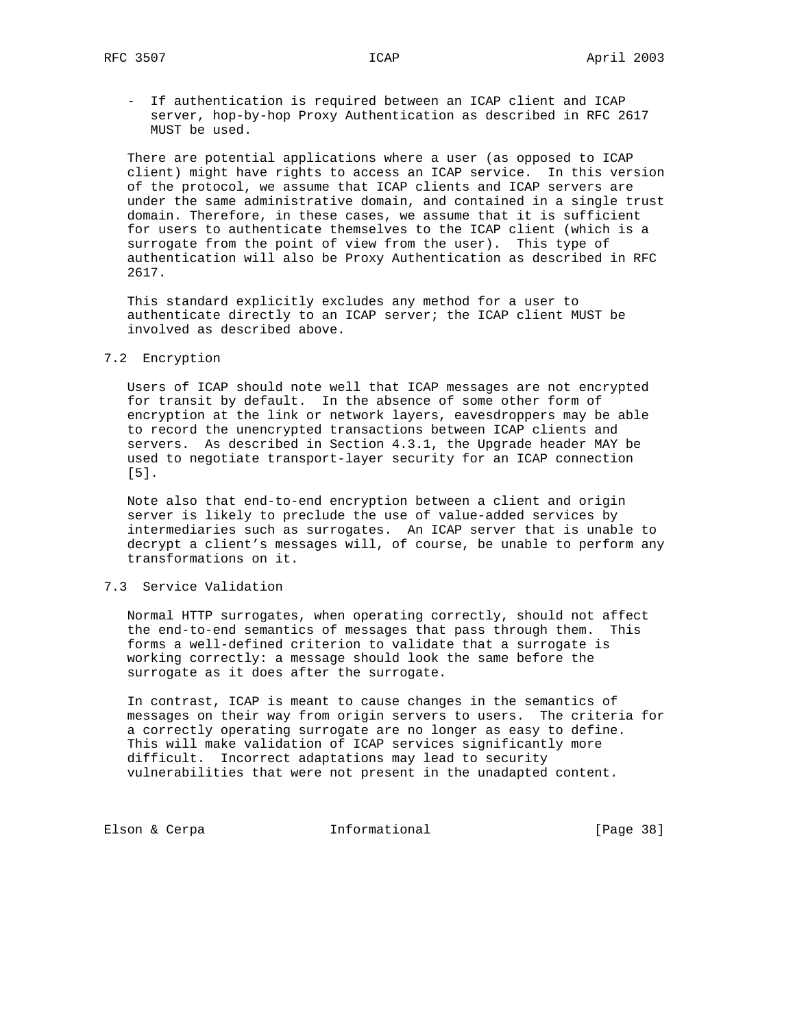- If authentication is required between an ICAP client and ICAP server, hop-by-hop Proxy Authentication as described in RFC 2617 MUST be used.

 There are potential applications where a user (as opposed to ICAP client) might have rights to access an ICAP service. In this version of the protocol, we assume that ICAP clients and ICAP servers are under the same administrative domain, and contained in a single trust domain. Therefore, in these cases, we assume that it is sufficient for users to authenticate themselves to the ICAP client (which is a surrogate from the point of view from the user). This type of authentication will also be Proxy Authentication as described in RFC 2617.

 This standard explicitly excludes any method for a user to authenticate directly to an ICAP server; the ICAP client MUST be involved as described above.

# 7.2 Encryption

 Users of ICAP should note well that ICAP messages are not encrypted for transit by default. In the absence of some other form of encryption at the link or network layers, eavesdroppers may be able to record the unencrypted transactions between ICAP clients and servers. As described in Section 4.3.1, the Upgrade header MAY be used to negotiate transport-layer security for an ICAP connection [5].

 Note also that end-to-end encryption between a client and origin server is likely to preclude the use of value-added services by intermediaries such as surrogates. An ICAP server that is unable to decrypt a client's messages will, of course, be unable to perform any transformations on it.

# 7.3 Service Validation

 Normal HTTP surrogates, when operating correctly, should not affect the end-to-end semantics of messages that pass through them. This forms a well-defined criterion to validate that a surrogate is working correctly: a message should look the same before the surrogate as it does after the surrogate.

 In contrast, ICAP is meant to cause changes in the semantics of messages on their way from origin servers to users. The criteria for a correctly operating surrogate are no longer as easy to define. This will make validation of ICAP services significantly more difficult. Incorrect adaptations may lead to security vulnerabilities that were not present in the unadapted content.

Elson & Cerpa **Informational** (Page 38)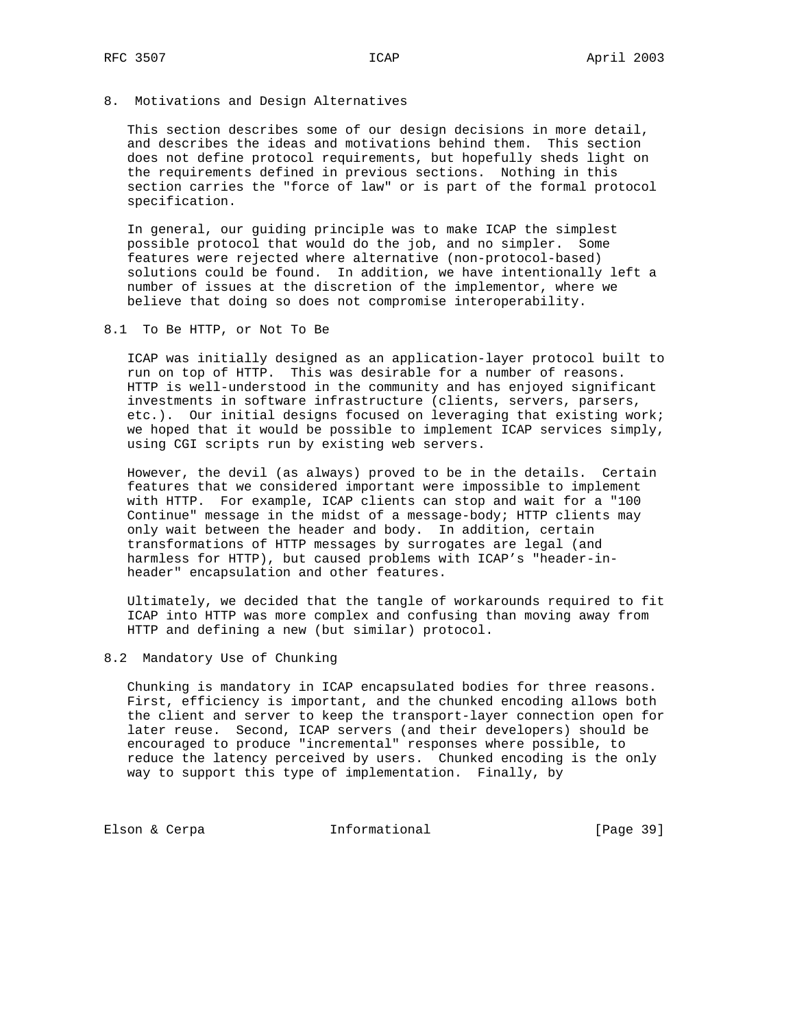8. Motivations and Design Alternatives

 This section describes some of our design decisions in more detail, and describes the ideas and motivations behind them. This section does not define protocol requirements, but hopefully sheds light on the requirements defined in previous sections. Nothing in this section carries the "force of law" or is part of the formal protocol specification.

 In general, our guiding principle was to make ICAP the simplest possible protocol that would do the job, and no simpler. Some features were rejected where alternative (non-protocol-based) solutions could be found. In addition, we have intentionally left a number of issues at the discretion of the implementor, where we believe that doing so does not compromise interoperability.

8.1 To Be HTTP, or Not To Be

 ICAP was initially designed as an application-layer protocol built to run on top of HTTP. This was desirable for a number of reasons. HTTP is well-understood in the community and has enjoyed significant investments in software infrastructure (clients, servers, parsers, etc.). Our initial designs focused on leveraging that existing work; we hoped that it would be possible to implement ICAP services simply, using CGI scripts run by existing web servers.

 However, the devil (as always) proved to be in the details. Certain features that we considered important were impossible to implement with HTTP. For example, ICAP clients can stop and wait for a "100 Continue" message in the midst of a message-body; HTTP clients may only wait between the header and body. In addition, certain transformations of HTTP messages by surrogates are legal (and harmless for HTTP), but caused problems with ICAP's "header-in header" encapsulation and other features.

 Ultimately, we decided that the tangle of workarounds required to fit ICAP into HTTP was more complex and confusing than moving away from HTTP and defining a new (but similar) protocol.

#### 8.2 Mandatory Use of Chunking

 Chunking is mandatory in ICAP encapsulated bodies for three reasons. First, efficiency is important, and the chunked encoding allows both the client and server to keep the transport-layer connection open for later reuse. Second, ICAP servers (and their developers) should be encouraged to produce "incremental" responses where possible, to reduce the latency perceived by users. Chunked encoding is the only way to support this type of implementation. Finally, by

Elson & Cerpa **Informational** [Page 39]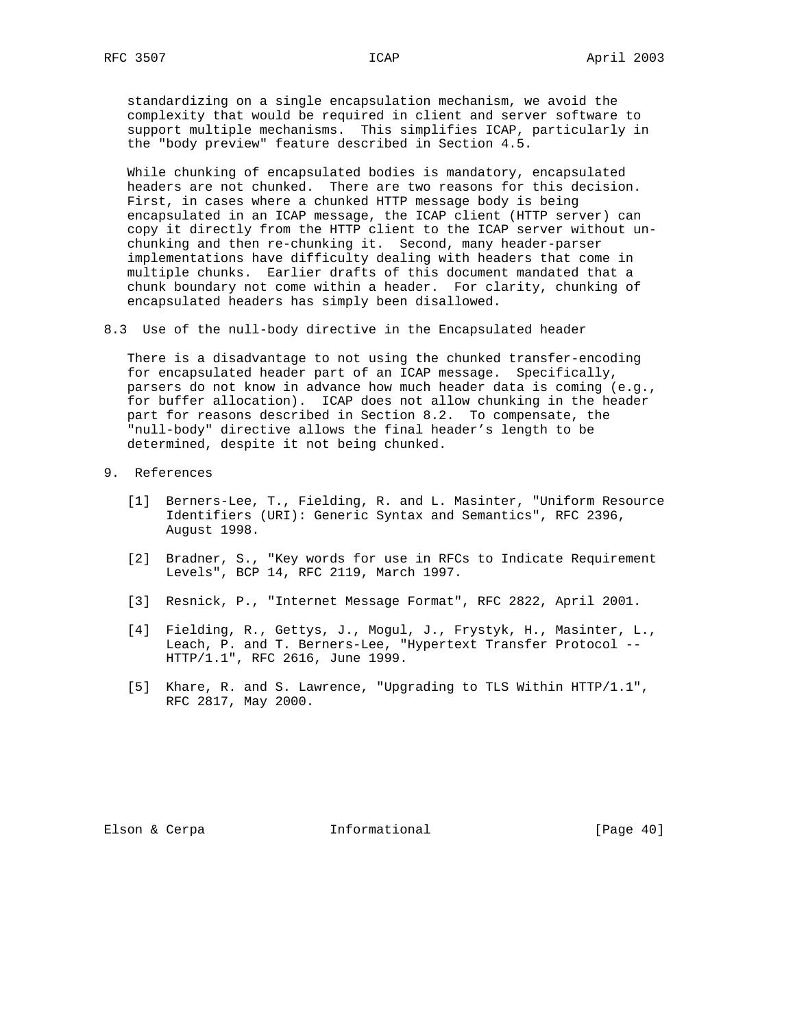standardizing on a single encapsulation mechanism, we avoid the complexity that would be required in client and server software to support multiple mechanisms. This simplifies ICAP, particularly in the "body preview" feature described in Section 4.5.

 While chunking of encapsulated bodies is mandatory, encapsulated headers are not chunked. There are two reasons for this decision. First, in cases where a chunked HTTP message body is being encapsulated in an ICAP message, the ICAP client (HTTP server) can copy it directly from the HTTP client to the ICAP server without un chunking and then re-chunking it. Second, many header-parser implementations have difficulty dealing with headers that come in multiple chunks. Earlier drafts of this document mandated that a chunk boundary not come within a header. For clarity, chunking of encapsulated headers has simply been disallowed.

8.3 Use of the null-body directive in the Encapsulated header

 There is a disadvantage to not using the chunked transfer-encoding for encapsulated header part of an ICAP message. Specifically, parsers do not know in advance how much header data is coming (e.g., for buffer allocation). ICAP does not allow chunking in the header part for reasons described in Section 8.2. To compensate, the "null-body" directive allows the final header's length to be determined, despite it not being chunked.

- 9. References
	- [1] Berners-Lee, T., Fielding, R. and L. Masinter, "Uniform Resource Identifiers (URI): Generic Syntax and Semantics", RFC 2396, August 1998.
	- [2] Bradner, S., "Key words for use in RFCs to Indicate Requirement Levels", BCP 14, RFC 2119, March 1997.
	- [3] Resnick, P., "Internet Message Format", RFC 2822, April 2001.
	- [4] Fielding, R., Gettys, J., Mogul, J., Frystyk, H., Masinter, L., Leach, P. and T. Berners-Lee, "Hypertext Transfer Protocol -- HTTP/1.1", RFC 2616, June 1999.
	- [5] Khare, R. and S. Lawrence, "Upgrading to TLS Within HTTP/1.1", RFC 2817, May 2000.

Elson & Cerpa **Informational** [Page 40]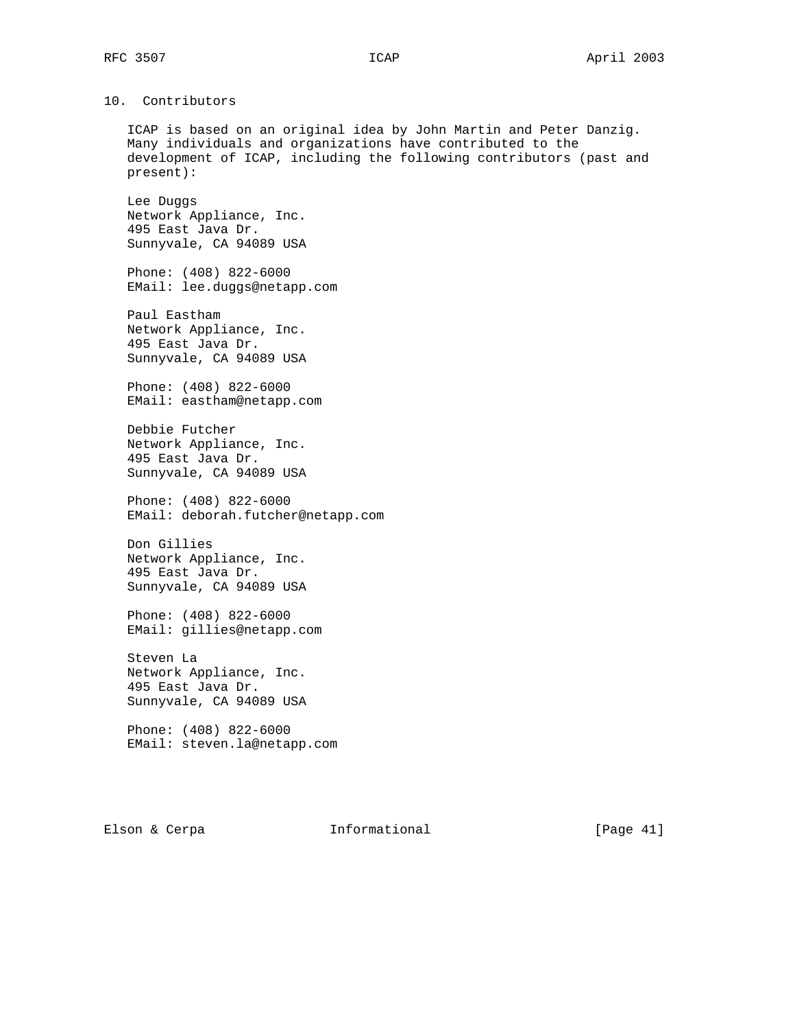# 10. Contributors

 ICAP is based on an original idea by John Martin and Peter Danzig. Many individuals and organizations have contributed to the development of ICAP, including the following contributors (past and present):

 Lee Duggs Network Appliance, Inc. 495 East Java Dr. Sunnyvale, CA 94089 USA

 Phone: (408) 822-6000 EMail: lee.duggs@netapp.com

 Paul Eastham Network Appliance, Inc. 495 East Java Dr. Sunnyvale, CA 94089 USA

 Phone: (408) 822-6000 EMail: eastham@netapp.com

 Debbie Futcher Network Appliance, Inc. 495 East Java Dr. Sunnyvale, CA 94089 USA

 Phone: (408) 822-6000 EMail: deborah.futcher@netapp.com

 Don Gillies Network Appliance, Inc. 495 East Java Dr. Sunnyvale, CA 94089 USA

 Phone: (408) 822-6000 EMail: gillies@netapp.com

 Steven La Network Appliance, Inc. 495 East Java Dr. Sunnyvale, CA 94089 USA

 Phone: (408) 822-6000 EMail: steven.la@netapp.com

Elson & Cerpa **Informational** [Page 41]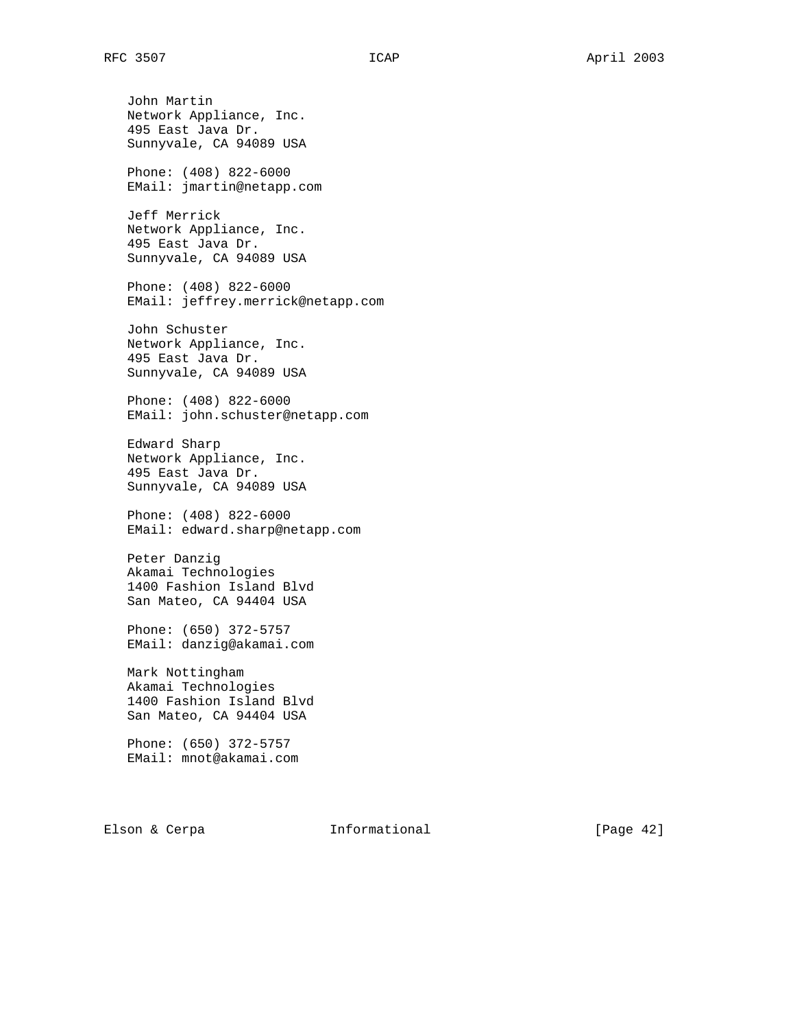John Martin Network Appliance, Inc. 495 East Java Dr. Sunnyvale, CA 94089 USA Phone: (408) 822-6000 EMail: jmartin@netapp.com Jeff Merrick Network Appliance, Inc. 495 East Java Dr. Sunnyvale, CA 94089 USA Phone: (408) 822-6000 EMail: jeffrey.merrick@netapp.com John Schuster Network Appliance, Inc. 495 East Java Dr. Sunnyvale, CA 94089 USA Phone: (408) 822-6000 EMail: john.schuster@netapp.com Edward Sharp Network Appliance, Inc. 495 East Java Dr. Sunnyvale, CA 94089 USA Phone: (408) 822-6000 EMail: edward.sharp@netapp.com Peter Danzig Akamai Technologies 1400 Fashion Island Blvd San Mateo, CA 94404 USA Phone: (650) 372-5757 EMail: danzig@akamai.com Mark Nottingham Akamai Technologies 1400 Fashion Island Blvd San Mateo, CA 94404 USA Phone: (650) 372-5757 EMail: mnot@akamai.com

Elson & Cerpa  $I_n$  Informational (Page 42)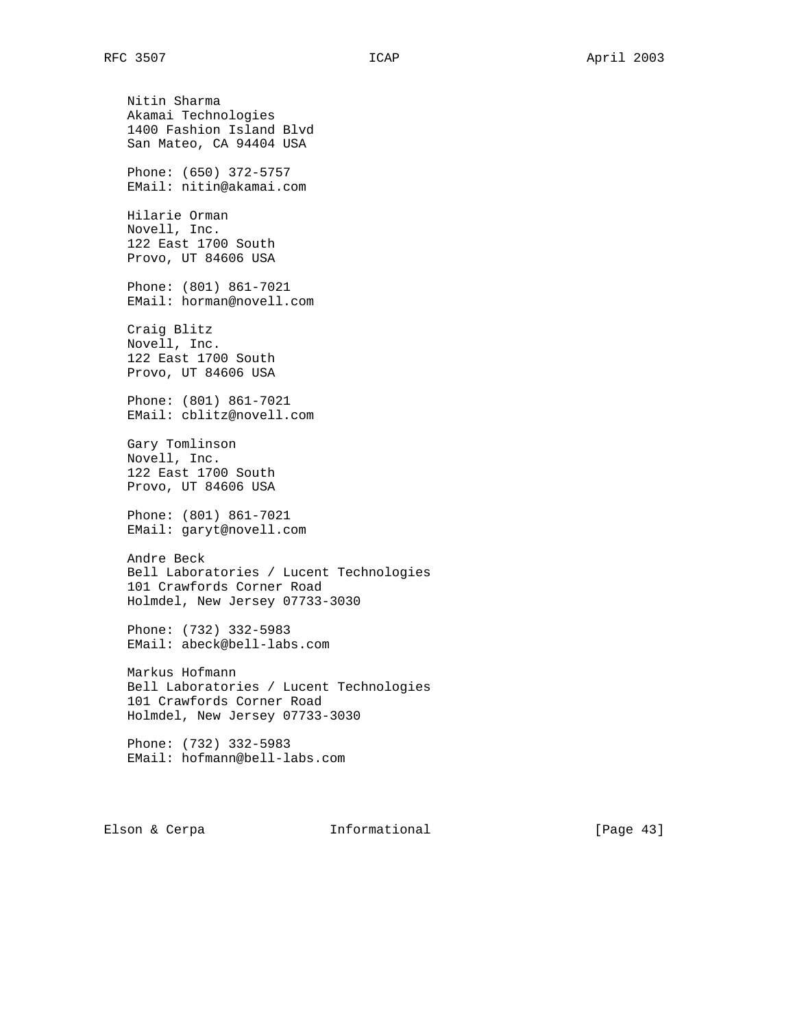Nitin Sharma Akamai Technologies 1400 Fashion Island Blvd San Mateo, CA 94404 USA Phone: (650) 372-5757 EMail: nitin@akamai.com Hilarie Orman Novell, Inc. 122 East 1700 South Provo, UT 84606 USA Phone: (801) 861-7021 EMail: horman@novell.com Craig Blitz Novell, Inc. 122 East 1700 South Provo, UT 84606 USA Phone: (801) 861-7021 EMail: cblitz@novell.com Gary Tomlinson Novell, Inc. 122 East 1700 South Provo, UT 84606 USA Phone: (801) 861-7021 EMail: garyt@novell.com Andre Beck Bell Laboratories / Lucent Technologies 101 Crawfords Corner Road Holmdel, New Jersey 07733-3030 Phone: (732) 332-5983 EMail: abeck@bell-labs.com Markus Hofmann Bell Laboratories / Lucent Technologies 101 Crawfords Corner Road Holmdel, New Jersey 07733-3030 Phone: (732) 332-5983

EMail: hofmann@bell-labs.com

Elson & Cerpa **Informational** [Page 43]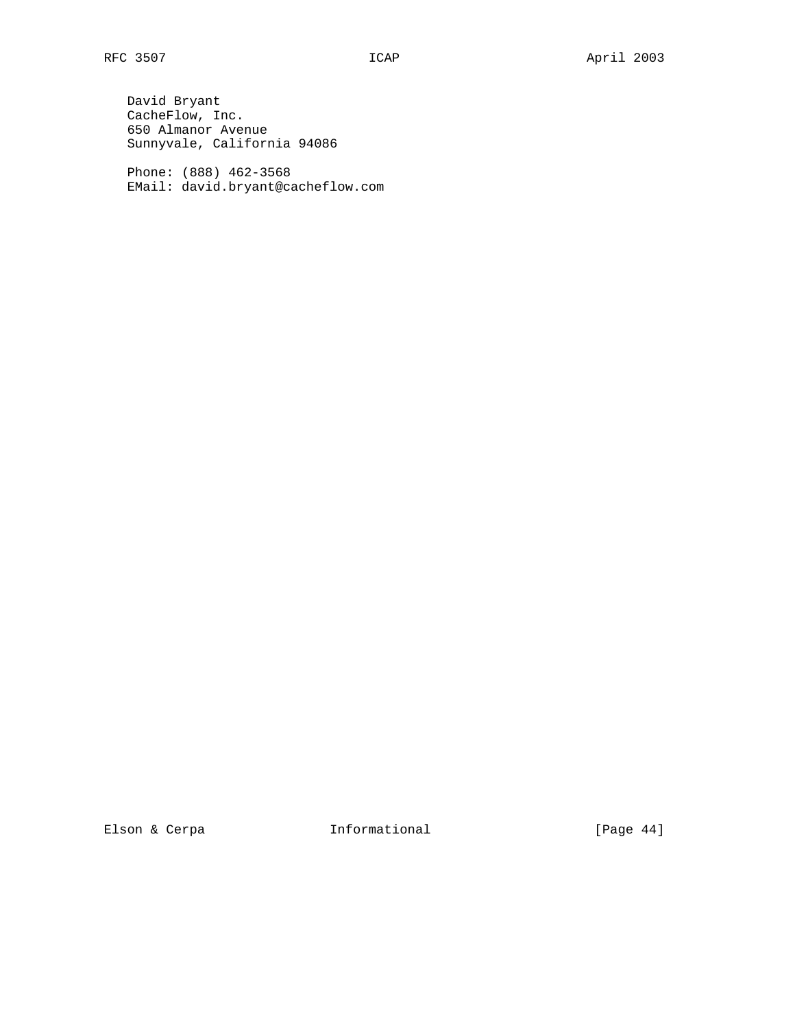David Bryant CacheFlow, Inc. 650 Almanor Avenue Sunnyvale, California 94086

 Phone: (888) 462-3568 EMail: david.bryant@cacheflow.com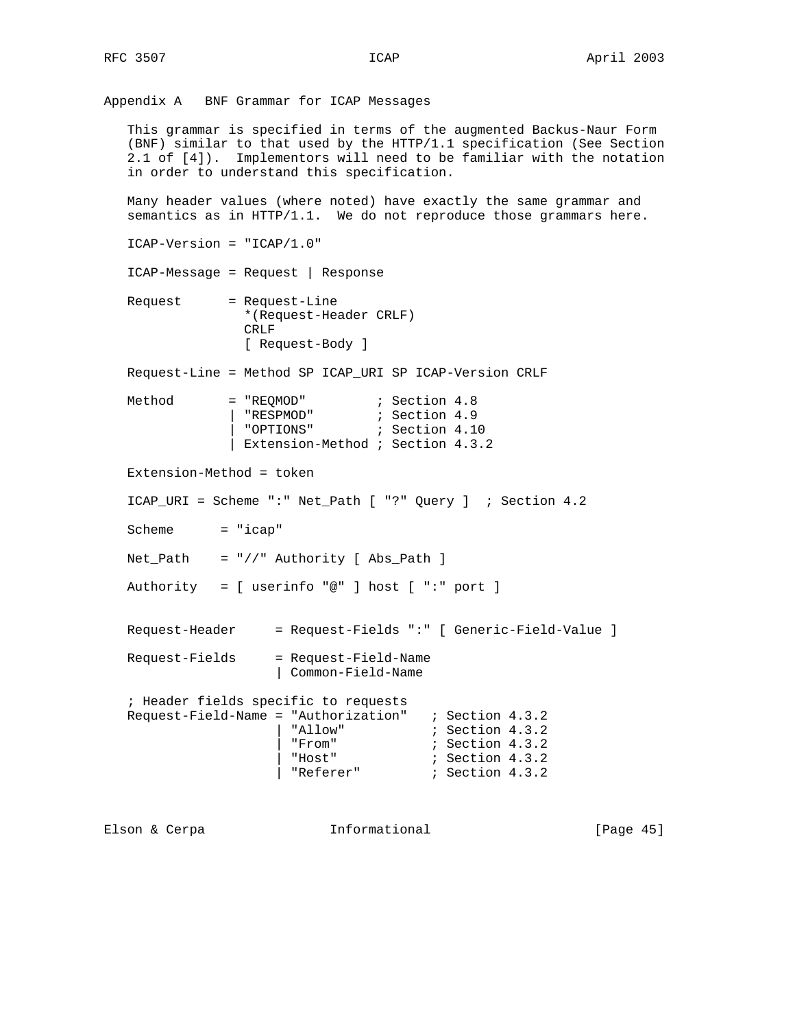Appendix A BNF Grammar for ICAP Messages

 This grammar is specified in terms of the augmented Backus-Naur Form (BNF) similar to that used by the HTTP/1.1 specification (See Section 2.1 of [4]). Implementors will need to be familiar with the notation in order to understand this specification.

 Many header values (where noted) have exactly the same grammar and semantics as in HTTP/1.1. We do not reproduce those grammars here.

ICAP-Version = "ICAP/1.0"

ICAP-Message = Request | Response

 Request = Request-Line \*(Request-Header CRLF) CRLF [ Request-Body ]

Request-Line = Method SP ICAP\_URI SP ICAP-Version CRLF

| Method | $= "REDMOD"$                     | ; Section 4.8  |  |
|--------|----------------------------------|----------------|--|
|        | "RESPMOD"                        | ; Section 4.9  |  |
|        | "OPTIONS"                        | ; Section 4.10 |  |
|        | Extension-Method ; Section 4.3.2 |                |  |

Extension-Method = token

ICAP\_URI = Scheme ":" Net\_Path [ "?" Query ] ; Section 4.2

Scheme = "icap"

Net\_Path = "//" Authority [ Abs\_Path ]

Authority = [ userinfo "@" ] host [ ":" port ]

Request-Header = Request-Fields ":" [ Generic-Field-Value ]

```
 Request-Fields = Request-Field-Name
                   | Common-Field-Name
```
 ; Header fields specific to requests Request-Field-Name = "Authorization" ; Section 4.3.2 | "Allow" ; Section 4.3.2 | "From" ; Section 4.3.2 | "Host" ; Section 4.3.2 | "Referer" ; Section 4.3.2

Elson & Cerpa **Informational** [Page 45]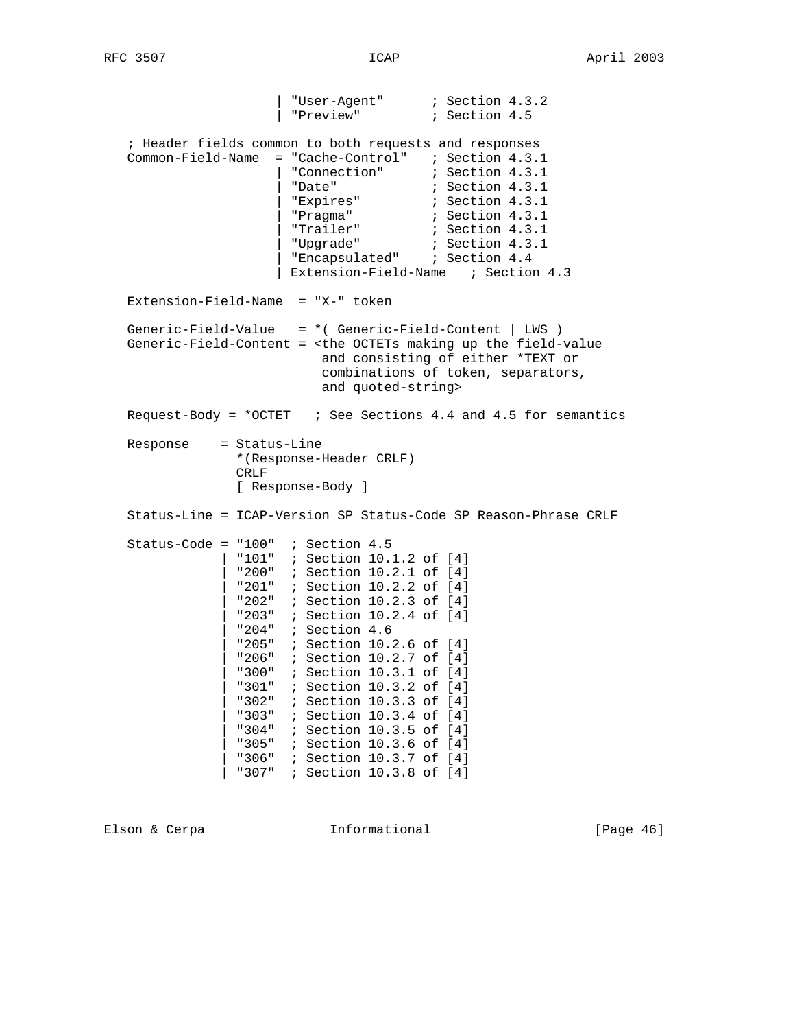| "User-Agent" ; Section 4.3.2 | "Preview" ; Section 4.5 ; Header fields common to both requests and responses Common-Field-Name = "Cache-Control" ; Section 4.3.1 | "Connection" ; Section 4.3.1 | "Date" ; Section 4.3.1 | "Expires" ; Section 4.3.1 | "Pragma" ; Section 4.3.1 | "Trailer" ; Section 4.3.1 | "Upgrade" ; Section 4.3.1 | "Encapsulated" ; Section 4.4 | Extension-Field-Name ; Section 4.3 Extension-Field-Name = "X-" token Generic-Field-Value = \*( Generic-Field-Content | LWS ) Generic-Field-Content = <the OCTETs making up the field-value and consisting of either \*TEXT or combinations of token, separators, and quoted-string> Request-Body = \*OCTET ; See Sections 4.4 and 4.5 for semantics Response = Status-Line \*(Response-Header CRLF) CRLF [ Response-Body ] Status-Line = ICAP-Version SP Status-Code SP Reason-Phrase CRLF Status-Code =  $"100"$  ; Section 4.5 | "101" ; Section 10.1.2 of [4] | "200" ; Section 10.2.1 of [4] | "201" ; Section 10.2.2 of [4] | "202" ; Section 10.2.3 of [4] | "203" ; Section 10.2.4 of [4] | "204" ; Section 4.6 | "205" ; Section 10.2.6 of [4] | "206" ; Section 10.2.7 of [4] | "300" ; Section 10.3.1 of [4] | "301" ; Section 10.3.2 of [4] | "302" ; Section 10.3.3 of [4] | "303" ; Section 10.3.4 of [4] | "304" ; Section 10.3.5 of [4] | "305" ; Section 10.3.6 of [4] | "306" ; Section 10.3.7 of [4] | "307" ; Section 10.3.8 of [4]

Elson & Cerpa **Informational** [Page 46]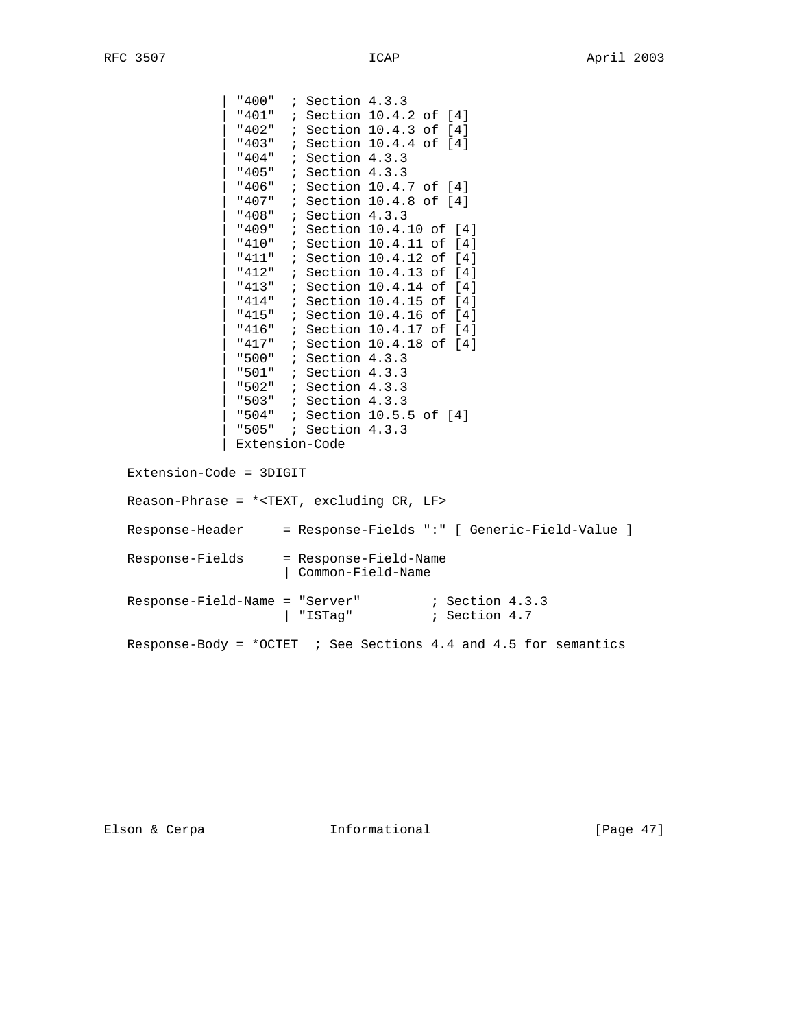| "400" ; Section 4.3.3 | "401" ; Section 10.4.2 of [4] | "402" ; Section 10.4.3 of [4] | "403" ; Section 10.4.4 of [4] | "404" ; Section 4.3.3 | "405" ; Section 4.3.3 | "406" ; Section 10.4.7 of [4] | "407" ; Section 10.4.8 of [4] | "408" ; Section 4.3.3 | "409" ; Section 10.4.10 of [4] | "410" ; Section 10.4.11 of [4] | "411" ; Section 10.4.12 of [4] | "412" ; Section 10.4.13 of [4] "413" ; Section 10.4.14 of [4] | "414" ; Section 10.4.15 of [4] | "415" ; Section 10.4.16 of [4] | "416" ; Section 10.4.17 of [4] | "417" ; Section 10.4.18 of [4] | "500" ; Section 4.3.3 | "501" ; Section 4.3.3 | "502" ; Section 4.3.3 | "503" ; Section 4.3.3 | "504" ; Section 10.5.5 of [4] | "505" ; Section 4.3.3 | Extension-Code Extension-Code = 3DIGIT Reason-Phrase = \*<TEXT, excluding CR, LF> Response-Header = Response-Fields ":" [ Generic-Field-Value ] Response-Fields = Response-Field-Name | Common-Field-Name Response-Field-Name = "Server" ; Section 4.3.3 | "ISTag"  $i$  Section 4.7

Response-Body = \*OCTET ; See Sections 4.4 and 4.5 for semantics

Elson & Cerpa **Informational** [Page 47]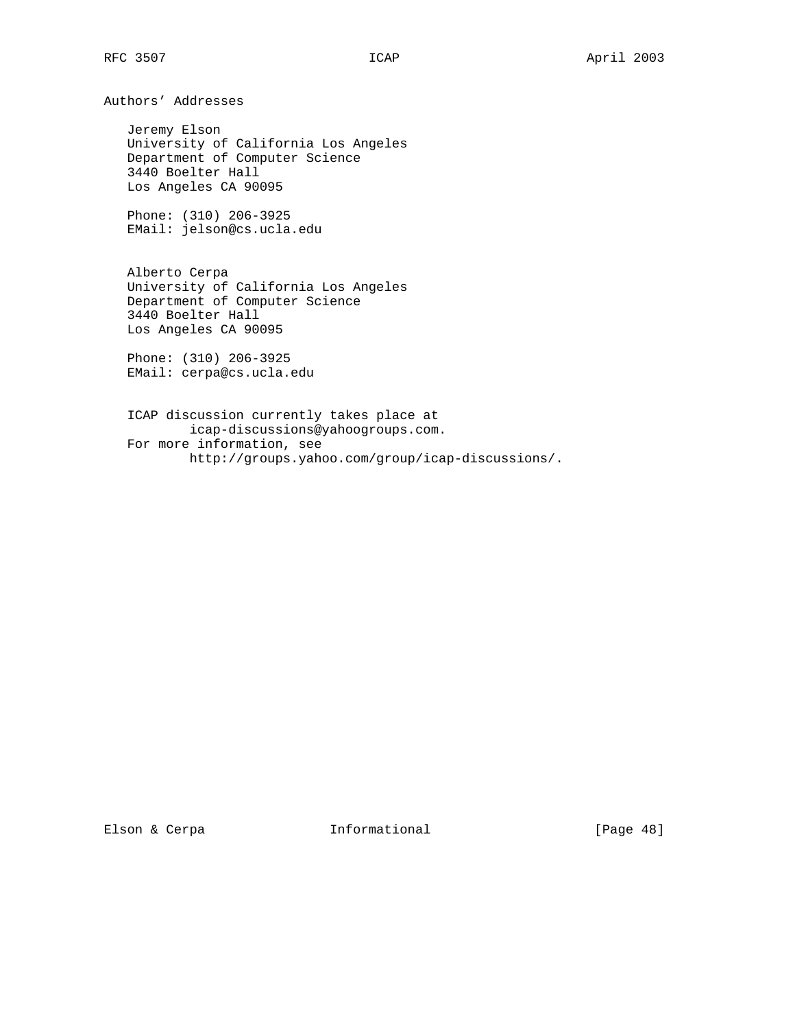Authors' Addresses

 Jeremy Elson University of California Los Angeles Department of Computer Science 3440 Boelter Hall Los Angeles CA 90095

 Phone: (310) 206-3925 EMail: jelson@cs.ucla.edu

 Alberto Cerpa University of California Los Angeles Department of Computer Science 3440 Boelter Hall Los Angeles CA 90095

 Phone: (310) 206-3925 EMail: cerpa@cs.ucla.edu

 ICAP discussion currently takes place at icap-discussions@yahoogroups.com. For more information, see http://groups.yahoo.com/group/icap-discussions/.

Elson & Cerpa **Informational** [Page 48]